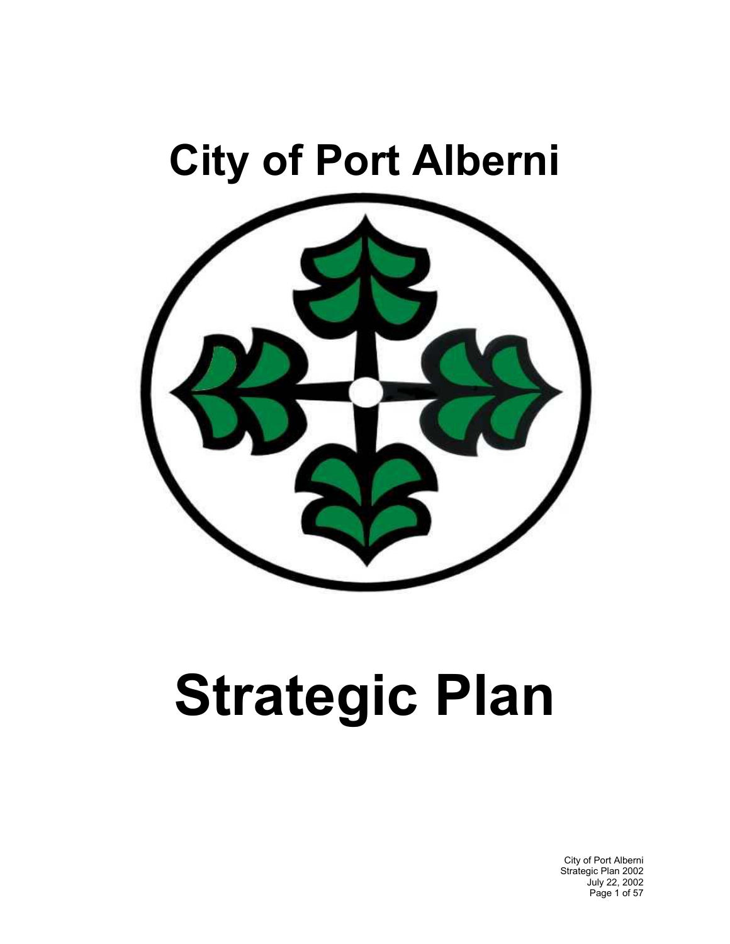## **City of Port Alberni**



# **Strategic Plan**

City of Port Alberni Strategic Plan 2002 July 22, 2002 Page 1 of 57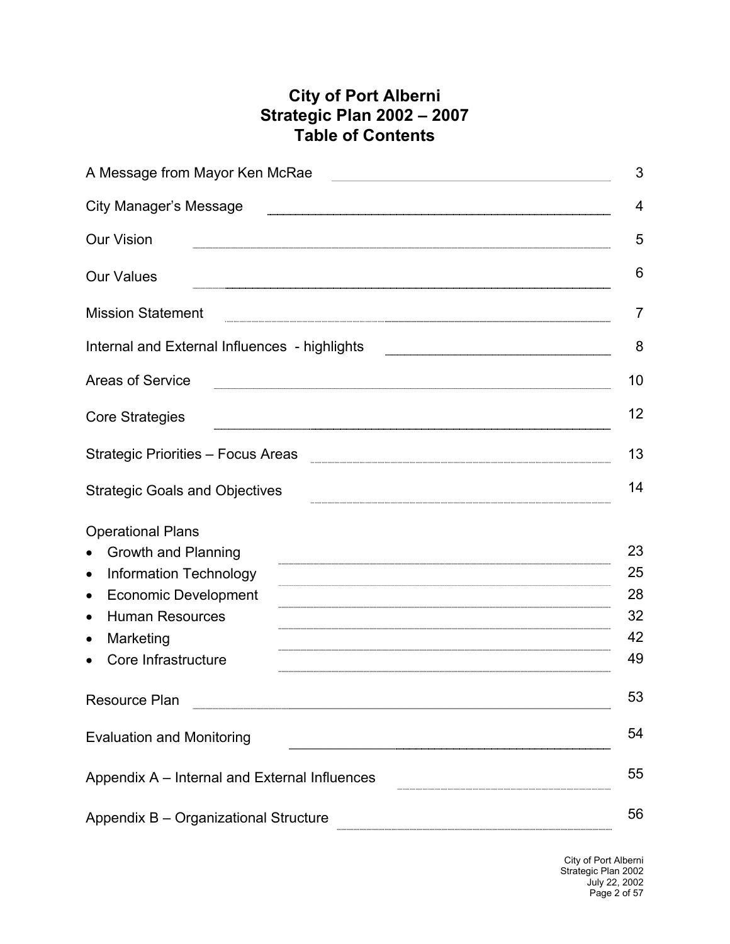## **City of Port Alberni Strategic Plan 2002 – 2007 Table of Contents**

| A Message from Mayor Ken McRae<br><u> 1980 - Johann Barbara, martin a</u> | 3  |
|---------------------------------------------------------------------------|----|
| <b>City Manager's Message</b>                                             | 4  |
| <b>Our Vision</b>                                                         | 5  |
| <b>Our Values</b>                                                         | 6  |
| <b>Mission Statement</b>                                                  | 7  |
| Internal and External Influences - highlights                             | 8  |
| <b>Areas of Service</b>                                                   | 10 |
| <b>Core Strategies</b>                                                    | 12 |
| Strategic Priorities - Focus Areas                                        | 13 |
| <b>Strategic Goals and Objectives</b>                                     | 14 |
| <b>Operational Plans</b>                                                  |    |
| <b>Growth and Planning</b>                                                | 23 |
| <b>Information Technology</b><br>$\bullet$                                | 25 |
| <b>Economic Development</b><br>$\bullet$                                  | 28 |
| <b>Human Resources</b><br>$\bullet$                                       | 32 |
| Marketing<br>$\bullet$                                                    | 42 |
| Core Infrastructure                                                       | 49 |
| Resource Plan                                                             | 53 |
| <b>Evaluation and Monitoring</b>                                          | 54 |
| Appendix A - Internal and External Influences                             | 55 |
| Appendix B - Organizational Structure                                     | 56 |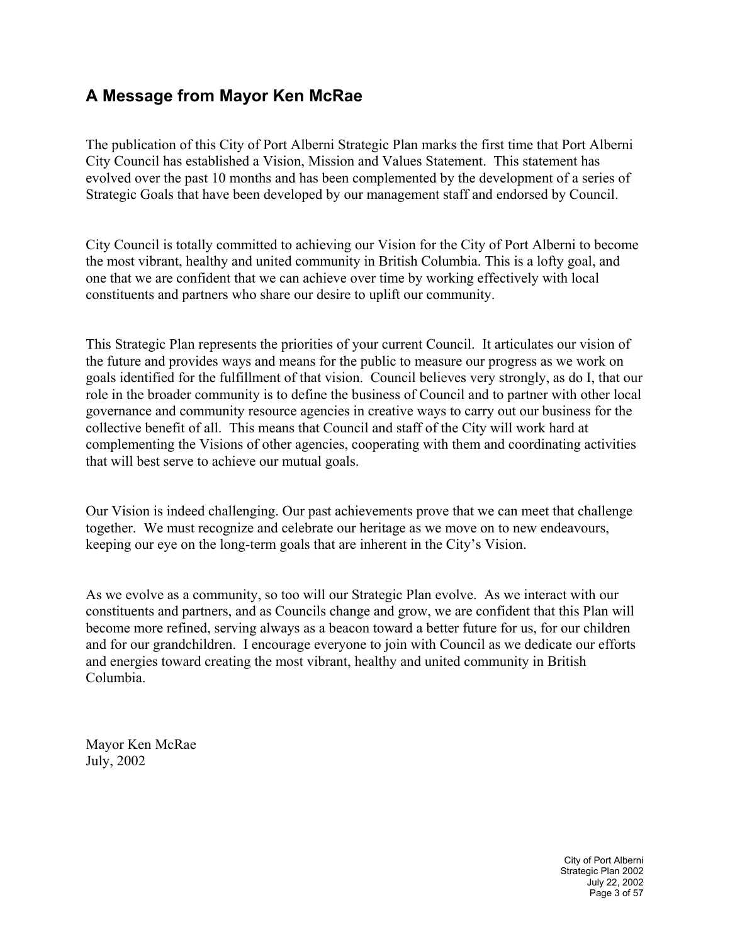## **A Message from Mayor Ken McRae**

The publication of this City of Port Alberni Strategic Plan marks the first time that Port Alberni City Council has established a Vision, Mission and Values Statement. This statement has evolved over the past 10 months and has been complemented by the development of a series of Strategic Goals that have been developed by our management staff and endorsed by Council.

City Council is totally committed to achieving our Vision for the City of Port Alberni to become the most vibrant, healthy and united community in British Columbia. This is a lofty goal, and one that we are confident that we can achieve over time by working effectively with local constituents and partners who share our desire to uplift our community.

This Strategic Plan represents the priorities of your current Council. It articulates our vision of the future and provides ways and means for the public to measure our progress as we work on goals identified for the fulfillment of that vision. Council believes very strongly, as do I, that our role in the broader community is to define the business of Council and to partner with other local governance and community resource agencies in creative ways to carry out our business for the collective benefit of all. This means that Council and staff of the City will work hard at complementing the Visions of other agencies, cooperating with them and coordinating activities that will best serve to achieve our mutual goals.

Our Vision is indeed challenging. Our past achievements prove that we can meet that challenge together. We must recognize and celebrate our heritage as we move on to new endeavours, keeping our eye on the long-term goals that are inherent in the City's Vision.

As we evolve as a community, so too will our Strategic Plan evolve. As we interact with our constituents and partners, and as Councils change and grow, we are confident that this Plan will become more refined, serving always as a beacon toward a better future for us, for our children and for our grandchildren. I encourage everyone to join with Council as we dedicate our efforts and energies toward creating the most vibrant, healthy and united community in British Columbia.

Mayor Ken McRae July, 2002

> City of Port Alberni Strategic Plan 2002 July 22, 2002 Page 3 of 57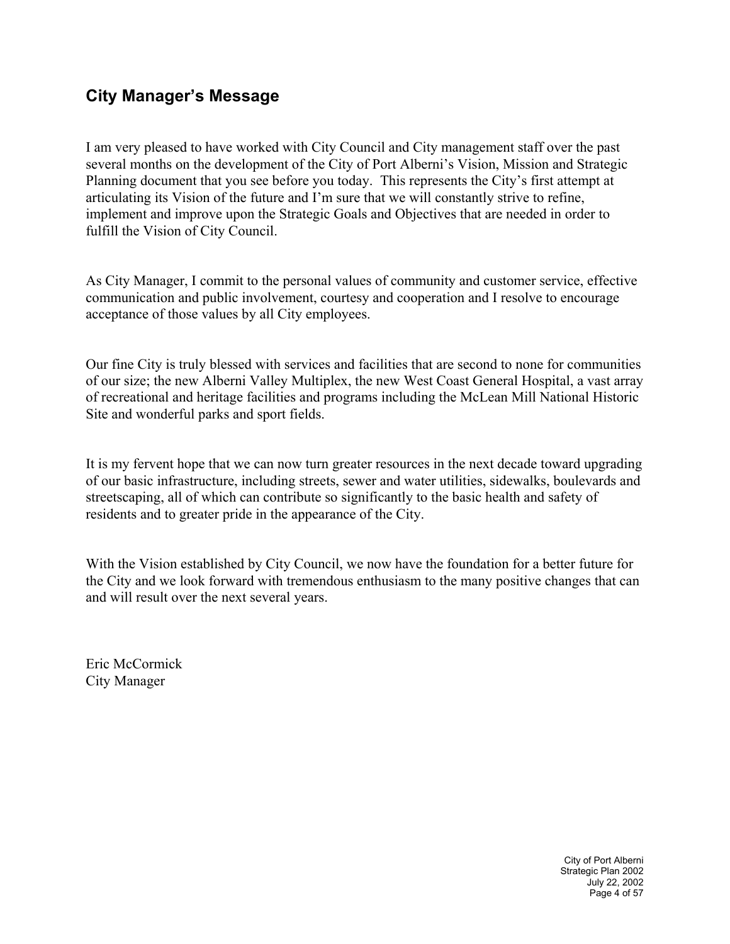## **City Manager's Message**

I am very pleased to have worked with City Council and City management staff over the past several months on the development of the City of Port Alberni's Vision, Mission and Strategic Planning document that you see before you today. This represents the City's first attempt at articulating its Vision of the future and I'm sure that we will constantly strive to refine, implement and improve upon the Strategic Goals and Objectives that are needed in order to fulfill the Vision of City Council.

As City Manager, I commit to the personal values of community and customer service, effective communication and public involvement, courtesy and cooperation and I resolve to encourage acceptance of those values by all City employees.

Our fine City is truly blessed with services and facilities that are second to none for communities of our size; the new Alberni Valley Multiplex, the new West Coast General Hospital, a vast array of recreational and heritage facilities and programs including the McLean Mill National Historic Site and wonderful parks and sport fields.

It is my fervent hope that we can now turn greater resources in the next decade toward upgrading of our basic infrastructure, including streets, sewer and water utilities, sidewalks, boulevards and streetscaping, all of which can contribute so significantly to the basic health and safety of residents and to greater pride in the appearance of the City.

With the Vision established by City Council, we now have the foundation for a better future for the City and we look forward with tremendous enthusiasm to the many positive changes that can and will result over the next several years.

Eric McCormick City Manager

> City of Port Alberni Strategic Plan 2002 July 22, 2002 Page 4 of 57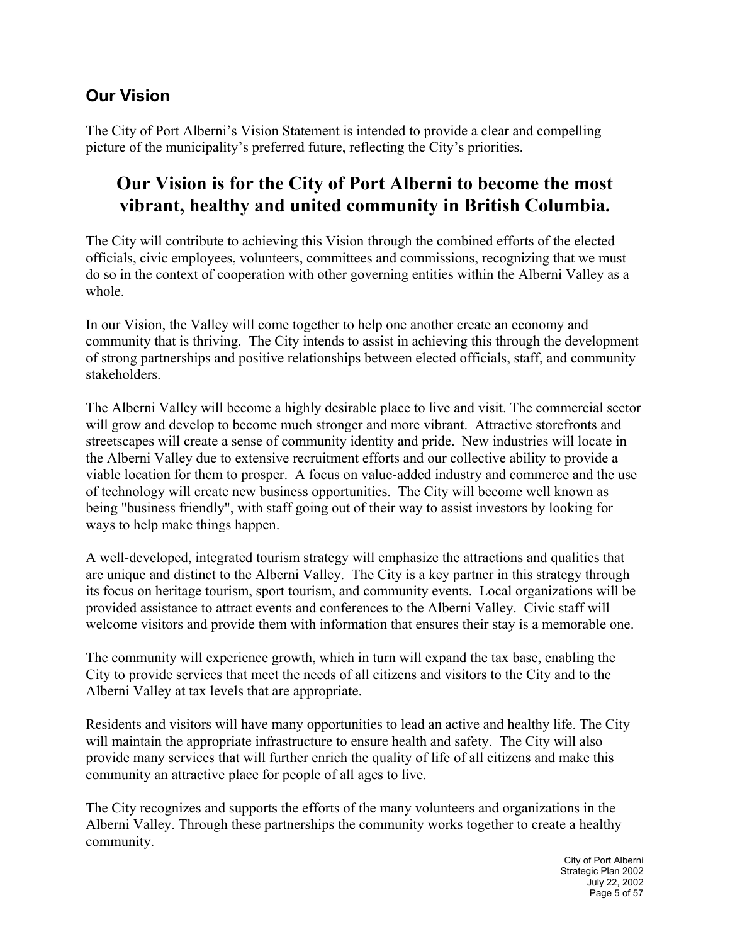## **Our Vision**

The City of Port Alberni's Vision Statement is intended to provide a clear and compelling picture of the municipality's preferred future, reflecting the City's priorities.

## **Our Vision is for the City of Port Alberni to become the most vibrant, healthy and united community in British Columbia.**

The City will contribute to achieving this Vision through the combined efforts of the elected officials, civic employees, volunteers, committees and commissions, recognizing that we must do so in the context of cooperation with other governing entities within the Alberni Valley as a whole.

In our Vision, the Valley will come together to help one another create an economy and community that is thriving. The City intends to assist in achieving this through the development of strong partnerships and positive relationships between elected officials, staff, and community stakeholders.

The Alberni Valley will become a highly desirable place to live and visit. The commercial sector will grow and develop to become much stronger and more vibrant. Attractive storefronts and streetscapes will create a sense of community identity and pride. New industries will locate in the Alberni Valley due to extensive recruitment efforts and our collective ability to provide a viable location for them to prosper. A focus on value-added industry and commerce and the use of technology will create new business opportunities. The City will become well known as being "business friendly", with staff going out of their way to assist investors by looking for ways to help make things happen.

A well-developed, integrated tourism strategy will emphasize the attractions and qualities that are unique and distinct to the Alberni Valley. The City is a key partner in this strategy through its focus on heritage tourism, sport tourism, and community events. Local organizations will be provided assistance to attract events and conferences to the Alberni Valley. Civic staff will welcome visitors and provide them with information that ensures their stay is a memorable one.

The community will experience growth, which in turn will expand the tax base, enabling the City to provide services that meet the needs of all citizens and visitors to the City and to the Alberni Valley at tax levels that are appropriate.

Residents and visitors will have many opportunities to lead an active and healthy life. The City will maintain the appropriate infrastructure to ensure health and safety. The City will also provide many services that will further enrich the quality of life of all citizens and make this community an attractive place for people of all ages to live.

The City recognizes and supports the efforts of the many volunteers and organizations in the Alberni Valley. Through these partnerships the community works together to create a healthy community.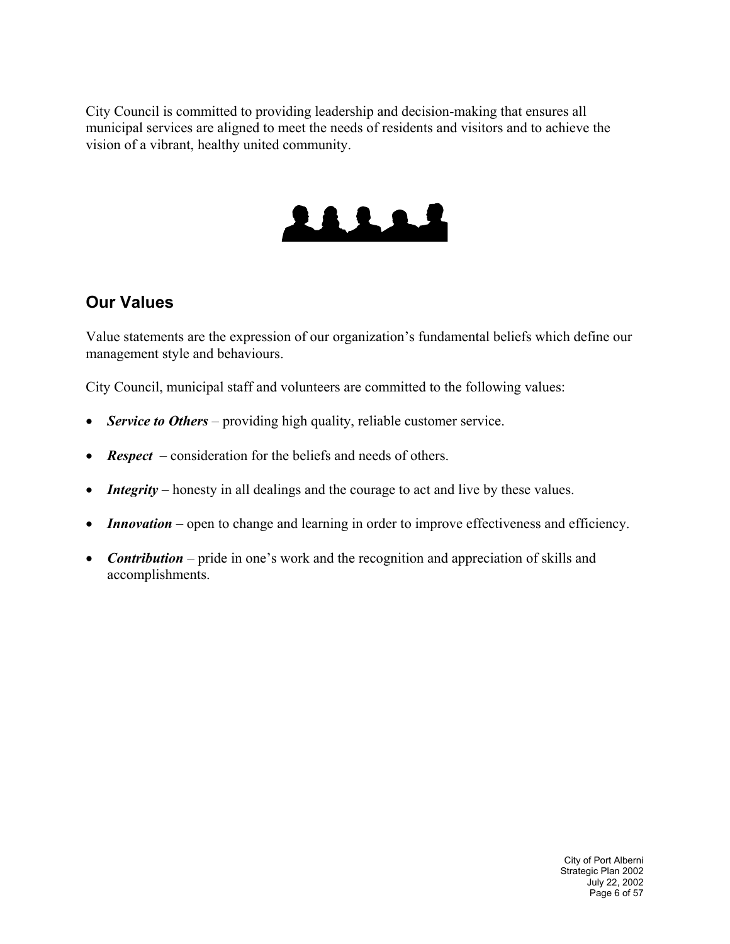City Council is committed to providing leadership and decision-making that ensures all municipal services are aligned to meet the needs of residents and visitors and to achieve the vision of a vibrant, healthy united community.



## **Our Values**

Value statements are the expression of our organization's fundamental beliefs which define our management style and behaviours.

City Council, municipal staff and volunteers are committed to the following values:

- *Service to Others* providing high quality, reliable customer service.
- *Respect* consideration for the beliefs and needs of others.
- *Integrity* honesty in all dealings and the courage to act and live by these values.
- *Innovation* open to change and learning in order to improve effectiveness and efficiency.
- *Contribution* pride in one's work and the recognition and appreciation of skills and accomplishments.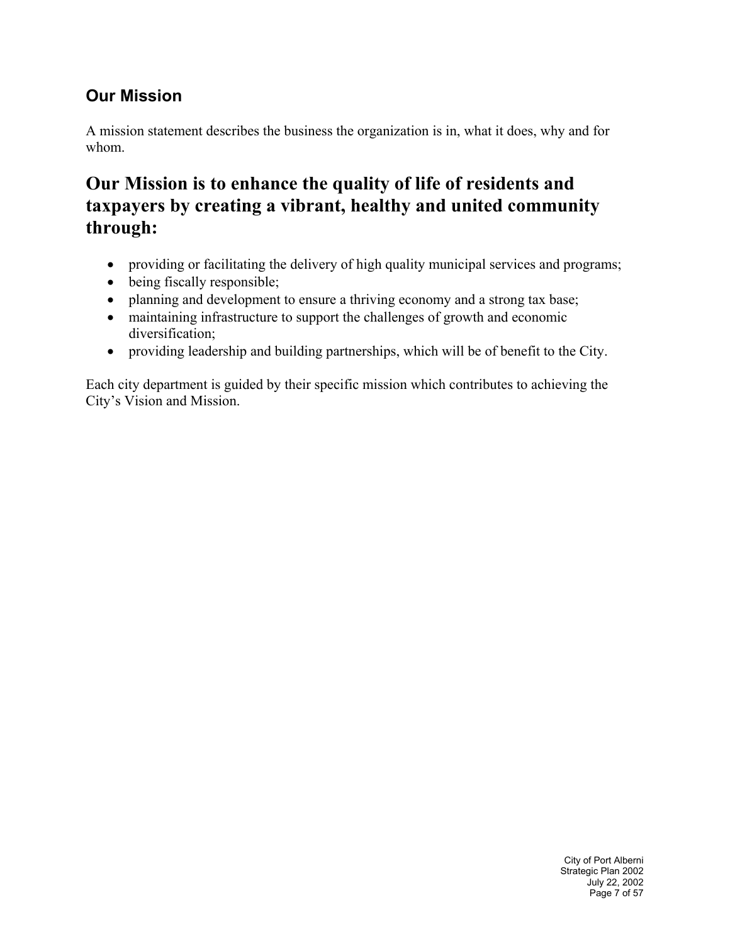## **Our Mission**

A mission statement describes the business the organization is in, what it does, why and for whom.

## **Our Mission is to enhance the quality of life of residents and taxpayers by creating a vibrant, healthy and united community through:**

- providing or facilitating the delivery of high quality municipal services and programs;
- being fiscally responsible;
- planning and development to ensure a thriving economy and a strong tax base;
- maintaining infrastructure to support the challenges of growth and economic diversification;
- providing leadership and building partnerships, which will be of benefit to the City.

Each city department is guided by their specific mission which contributes to achieving the City's Vision and Mission.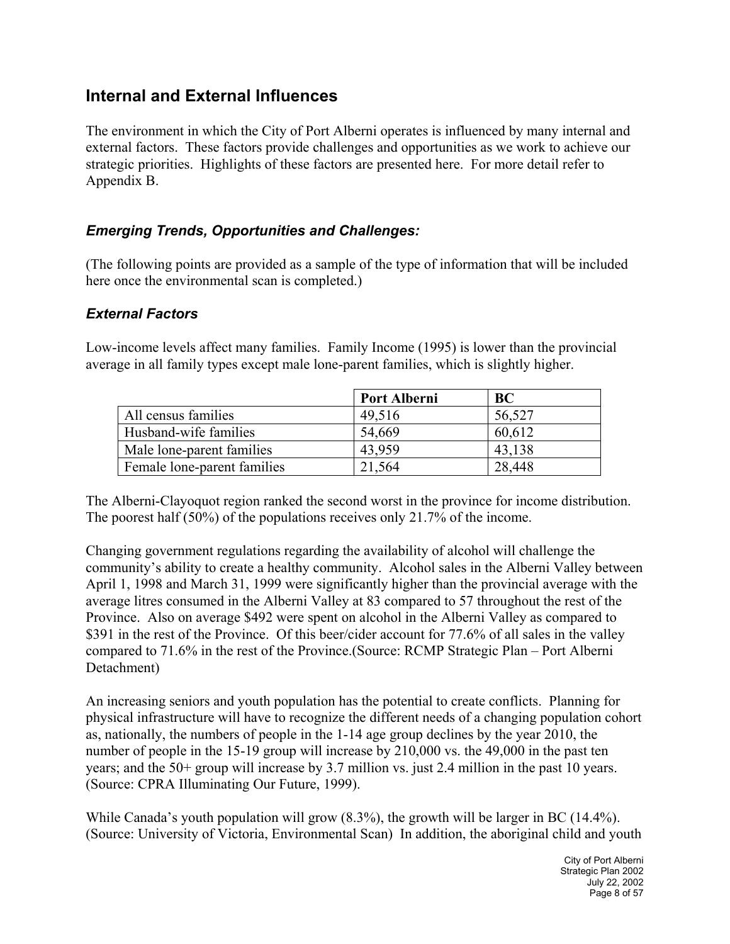## **Internal and External Influences**

The environment in which the City of Port Alberni operates is influenced by many internal and external factors. These factors provide challenges and opportunities as we work to achieve our strategic priorities. Highlights of these factors are presented here. For more detail refer to Appendix B.

#### *Emerging Trends, Opportunities and Challenges:*

(The following points are provided as a sample of the type of information that will be included here once the environmental scan is completed.)

#### *External Factors*

Low-income levels affect many families. Family Income (1995) is lower than the provincial average in all family types except male lone-parent families, which is slightly higher.

|                             | Port Alberni | <b>BC</b> |
|-----------------------------|--------------|-----------|
| All census families         | 49,516       | 56,527    |
| Husband-wife families       | 54,669       | 60,612    |
| Male lone-parent families   | 43.959       | 43,138    |
| Female lone-parent families | 21.564       | 28,448    |

The Alberni-Clayoquot region ranked the second worst in the province for income distribution. The poorest half (50%) of the populations receives only 21.7% of the income.

Changing government regulations regarding the availability of alcohol will challenge the community's ability to create a healthy community. Alcohol sales in the Alberni Valley between April 1, 1998 and March 31, 1999 were significantly higher than the provincial average with the average litres consumed in the Alberni Valley at 83 compared to 57 throughout the rest of the Province. Also on average \$492 were spent on alcohol in the Alberni Valley as compared to \$391 in the rest of the Province. Of this beer/cider account for 77.6% of all sales in the valley compared to 71.6% in the rest of the Province.(Source: RCMP Strategic Plan – Port Alberni Detachment)

An increasing seniors and youth population has the potential to create conflicts. Planning for physical infrastructure will have to recognize the different needs of a changing population cohort as, nationally, the numbers of people in the 1-14 age group declines by the year 2010, the number of people in the 15-19 group will increase by 210,000 vs. the 49,000 in the past ten years; and the 50+ group will increase by 3.7 million vs. just 2.4 million in the past 10 years. (Source: CPRA Illuminating Our Future, 1999).

While Canada's youth population will grow (8.3%), the growth will be larger in BC (14.4%). (Source: University of Victoria, Environmental Scan) In addition, the aboriginal child and youth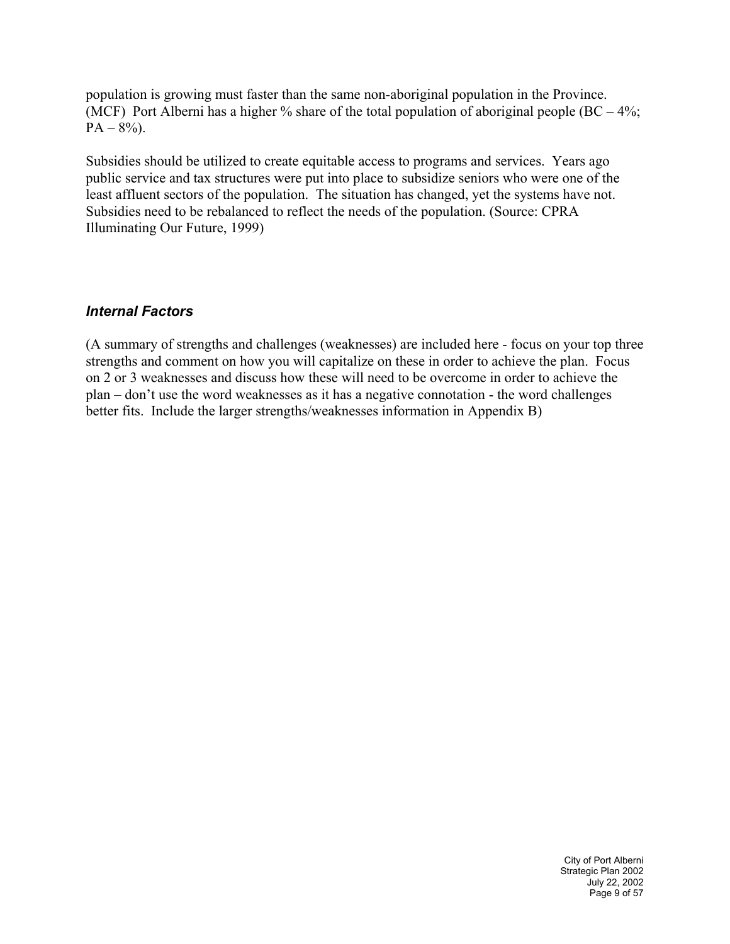population is growing must faster than the same non-aboriginal population in the Province. (MCF) Port Alberni has a higher % share of the total population of aboriginal people  $(BC - 4\%;$  $PA - 8\%$ ).

Subsidies should be utilized to create equitable access to programs and services. Years ago public service and tax structures were put into place to subsidize seniors who were one of the least affluent sectors of the population. The situation has changed, yet the systems have not. Subsidies need to be rebalanced to reflect the needs of the population. (Source: CPRA Illuminating Our Future, 1999)

#### *Internal Factors*

(A summary of strengths and challenges (weaknesses) are included here - focus on your top three strengths and comment on how you will capitalize on these in order to achieve the plan. Focus on 2 or 3 weaknesses and discuss how these will need to be overcome in order to achieve the plan – don't use the word weaknesses as it has a negative connotation - the word challenges better fits. Include the larger strengths/weaknesses information in Appendix B)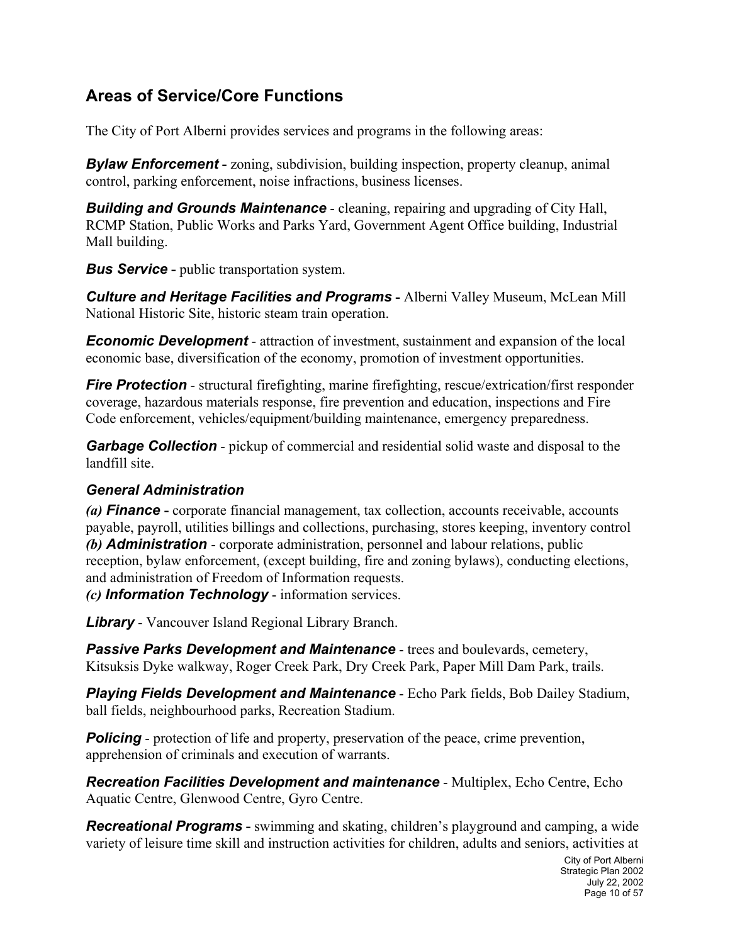## **Areas of Service/Core Functions**

The City of Port Alberni provides services and programs in the following areas:

*Bylaw Enforcement* - *zoning*, subdivision, building inspection, property cleanup, animal control, parking enforcement, noise infractions, business licenses.

*Building and Grounds Maintenance* - cleaning, repairing and upgrading of City Hall, RCMP Station, Public Works and Parks Yard, Government Agent Office building, Industrial Mall building.

*Bus Service* - public transportation system.

**Culture and Heritage Facilities and Programs** - Alberni Valley Museum, McLean Mill National Historic Site, historic steam train operation.

*Economic Development* - attraction of investment, sustainment and expansion of the local economic base, diversification of the economy, promotion of investment opportunities.

*Fire Protection* - structural firefighting, marine firefighting, rescue/extrication/first responder coverage, hazardous materials response, fire prevention and education, inspections and Fire Code enforcement, vehicles/equipment/building maintenance, emergency preparedness.

*Garbage Collection* - pickup of commercial and residential solid waste and disposal to the landfill site.

#### *General Administration*

*(a) Finance* **-** corporate financial management, tax collection, accounts receivable, accounts payable, payroll, utilities billings and collections, purchasing, stores keeping, inventory control *(b) Administration* - corporate administration, personnel and labour relations, public reception, bylaw enforcement, (except building, fire and zoning bylaws), conducting elections, and administration of Freedom of Information requests.

*(c) Information Technology* - information services.

*Library* - Vancouver Island Regional Library Branch.

**Passive Parks Development and Maintenance** - trees and boulevards, cemetery, Kitsuksis Dyke walkway, Roger Creek Park, Dry Creek Park, Paper Mill Dam Park, trails.

*Playing Fields Development and Maintenance* - Echo Park fields, Bob Dailey Stadium, ball fields, neighbourhood parks, Recreation Stadium.

**Policing** - protection of life and property, preservation of the peace, crime prevention, apprehension of criminals and execution of warrants.

*Recreation Facilities Development and maintenance* - Multiplex, Echo Centre, Echo Aquatic Centre, Glenwood Centre, Gyro Centre.

*Recreational Programs* - swimming and skating, children's playground and camping, a wide variety of leisure time skill and instruction activities for children, adults and seniors, activities at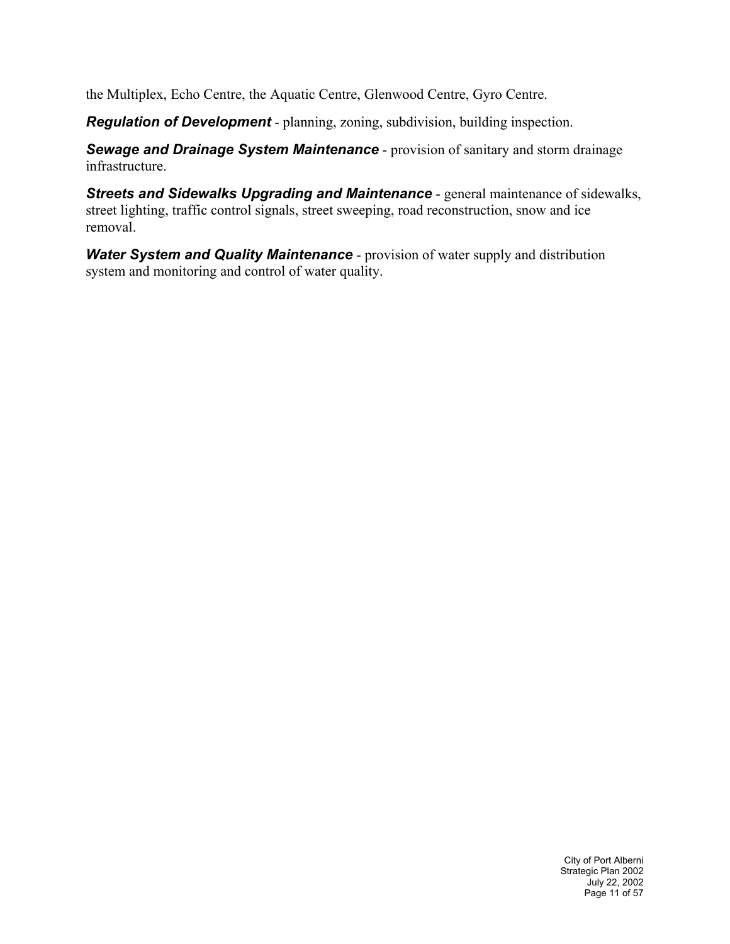the Multiplex, Echo Centre, the Aquatic Centre, Glenwood Centre, Gyro Centre.

*Regulation of Development* - planning, zoning, subdivision, building inspection.

*Sewage and Drainage System Maintenance* - provision of sanitary and storm drainage infrastructure.

*Streets and Sidewalks Upgrading and Maintenance* - general maintenance of sidewalks, street lighting, traffic control signals, street sweeping, road reconstruction, snow and ice removal.

*Water System and Quality Maintenance* - provision of water supply and distribution system and monitoring and control of water quality.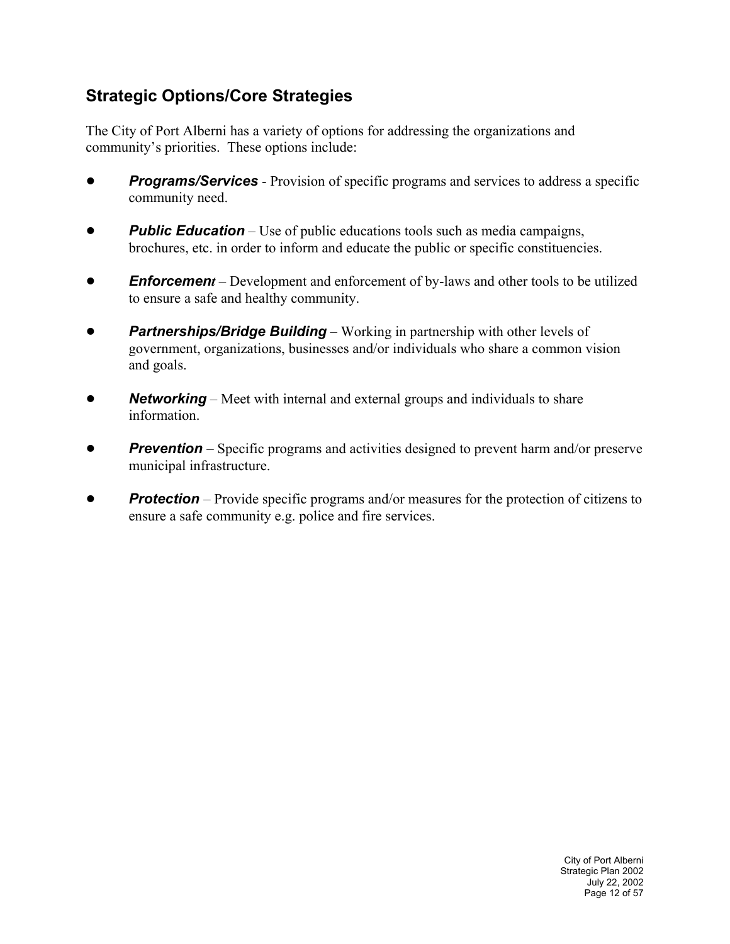## **Strategic Options/Core Strategies**

The City of Port Alberni has a variety of options for addressing the organizations and community's priorities. These options include:

- **Programs/Services** Provision of specific programs and services to address a specific community need.
- ! *Public Education* Use of public educations tools such as media campaigns, brochures, etc. in order to inform and educate the public or specific constituencies.
- *Enforcement* Development and enforcement of by-laws and other tools to be utilized to ensure a safe and healthy community.
- **Partnerships/Bridge Building** Working in partnership with other levels of government, organizations, businesses and/or individuals who share a common vision and goals.
- *Networking* Meet with internal and external groups and individuals to share information.
- **Prevention** Specific programs and activities designed to prevent harm and/or preserve municipal infrastructure.
- ! *Protection* Provide specific programs and/or measures for the protection of citizens to ensure a safe community e.g. police and fire services.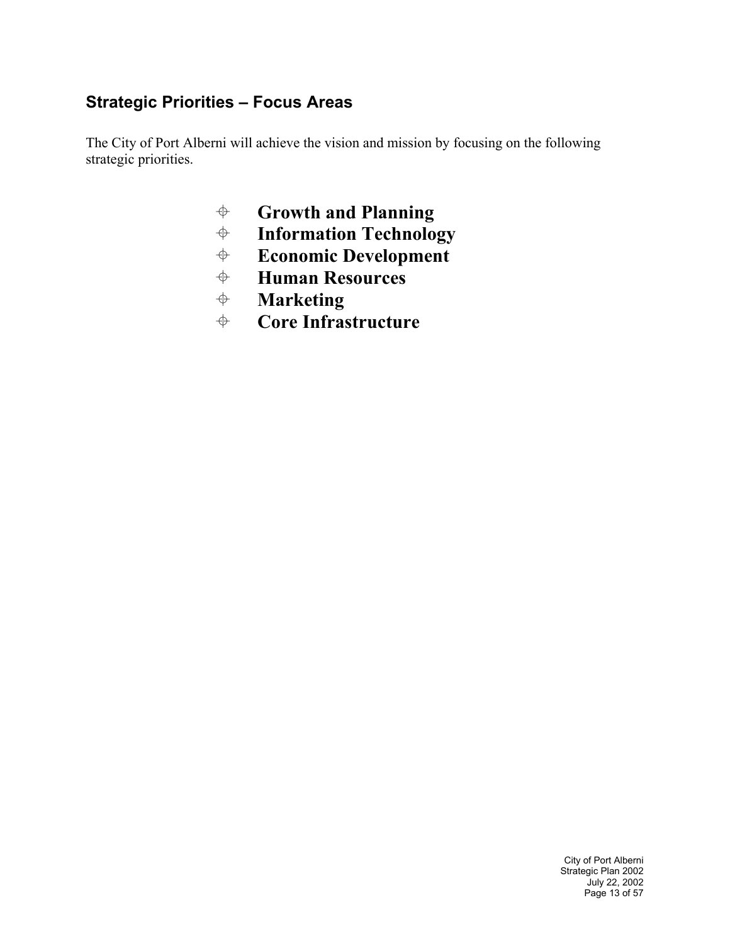## **Strategic Priorities – Focus Areas**

The City of Port Alberni will achieve the vision and mission by focusing on the following strategic priorities.

- **Growth and Planning**
- *♦* **Information Technology<br><b>***♦* Economic Development
- **Economic Development**<br>**♦ Human Resources**
- **Human Resources**
- **Marketing**
- **Core Infrastructure**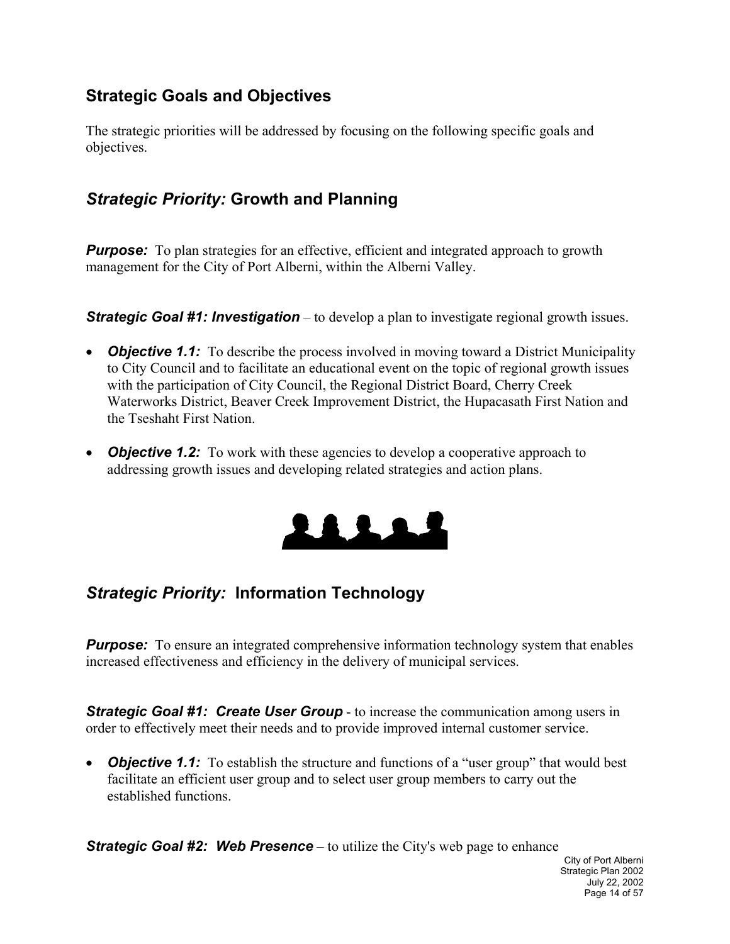## **Strategic Goals and Objectives**

The strategic priorities will be addressed by focusing on the following specific goals and objectives.

## *Strategic Priority:* **Growth and Planning**

*Purpose:* To plan strategies for an effective, efficient and integrated approach to growth management for the City of Port Alberni, within the Alberni Valley.

*Strategic Goal #1: Investigation* – to develop a plan to investigate regional growth issues.

- *Objective 1.1:* To describe the process involved in moving toward a District Municipality to City Council and to facilitate an educational event on the topic of regional growth issues with the participation of City Council, the Regional District Board, Cherry Creek Waterworks District, Beaver Creek Improvement District, the Hupacasath First Nation and the Tseshaht First Nation.
- *Objective 1.2:* To work with these agencies to develop a cooperative approach to addressing growth issues and developing related strategies and action plans.



## *Strategic Priority:* **Information Technology**

*Purpose:* To ensure an integrated comprehensive information technology system that enables increased effectiveness and efficiency in the delivery of municipal services.

**Strategic Goal #1: Create User Group** - to increase the communication among users in order to effectively meet their needs and to provide improved internal customer service.

• *Objective 1.1:* To establish the structure and functions of a "user group" that would best facilitate an efficient user group and to select user group members to carry out the established functions.

*Strategic Goal #2: Web Presence* – to utilize the City's web page to enhance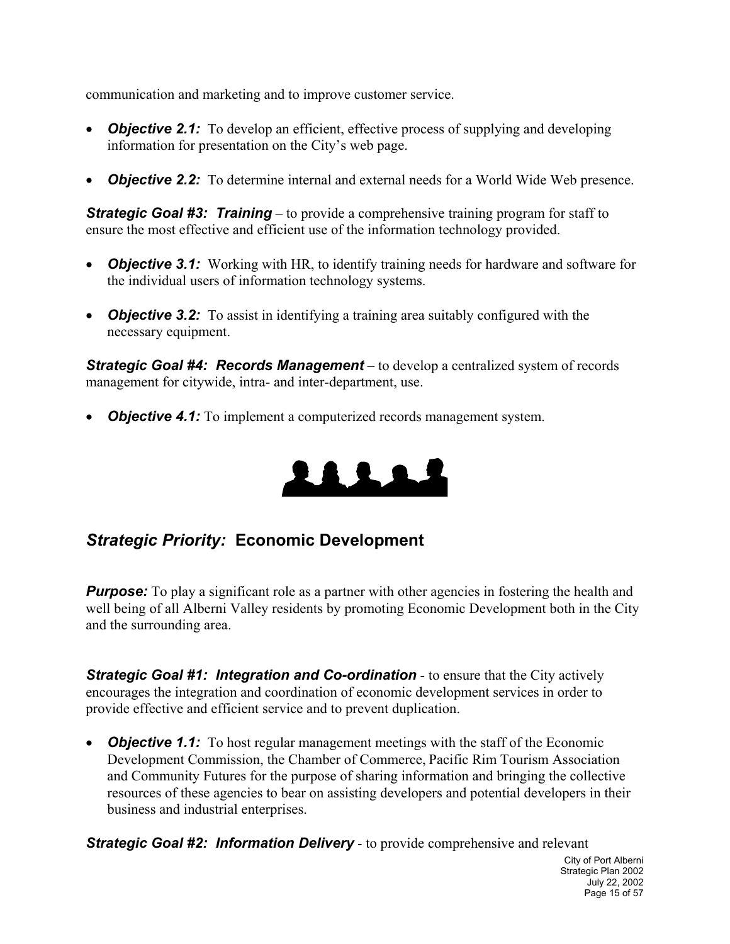communication and marketing and to improve customer service.

- *Objective 2.1:* To develop an efficient, effective process of supplying and developing information for presentation on the City's web page.
- **Objective 2.2:** To determine internal and external needs for a World Wide Web presence.

*Strategic Goal #3: Training* – to provide a comprehensive training program for staff to ensure the most effective and efficient use of the information technology provided.

- *Objective 3.1:* Working with HR, to identify training needs for hardware and software for the individual users of information technology systems.
- *Objective 3.2:* To assist in identifying a training area suitably configured with the necessary equipment.

*Strategic Goal #4: Records Management* – to develop a centralized system of records management for citywide, intra- and inter-department, use.

• *Objective 4.1:* To implement a computerized records management system.



## *Strategic Priority:* **Economic Development**

**Purpose:** To play a significant role as a partner with other agencies in fostering the health and well being of all Alberni Valley residents by promoting Economic Development both in the City and the surrounding area.

**Strategic Goal #1: Integration and Co-ordination** - to ensure that the City actively encourages the integration and coordination of economic development services in order to provide effective and efficient service and to prevent duplication.

• *Objective 1.1:* To host regular management meetings with the staff of the Economic Development Commission, the Chamber of Commerce, Pacific Rim Tourism Association and Community Futures for the purpose of sharing information and bringing the collective resources of these agencies to bear on assisting developers and potential developers in their business and industrial enterprises.

*Strategic Goal #2: Information Delivery* - to provide comprehensive and relevant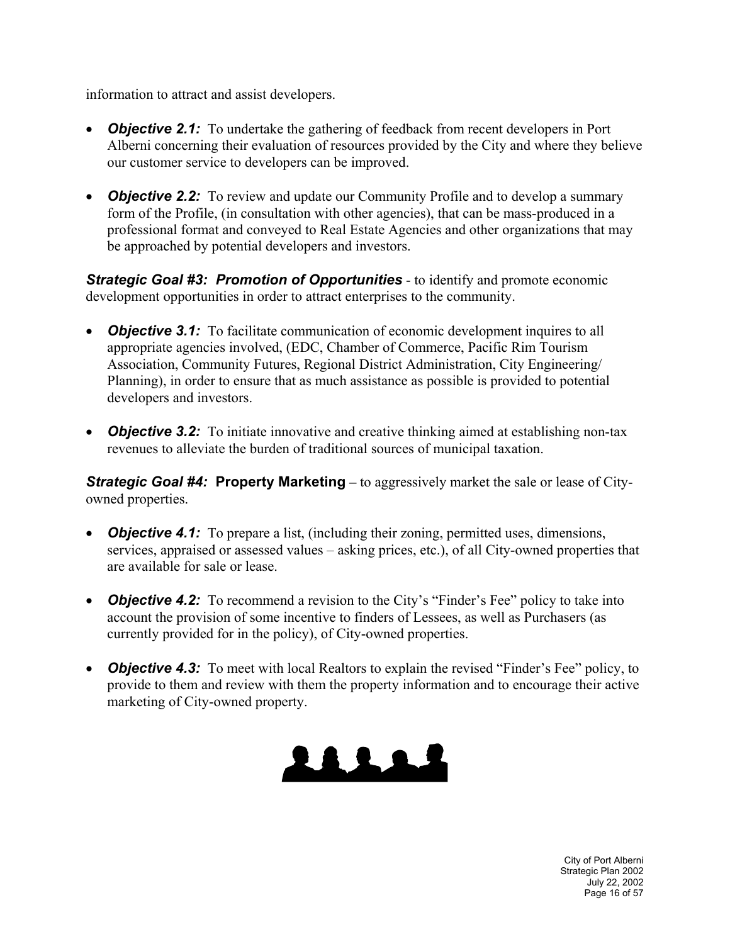information to attract and assist developers.

- *Objective 2.1:* To undertake the gathering of feedback from recent developers in Port Alberni concerning their evaluation of resources provided by the City and where they believe our customer service to developers can be improved.
- *Objective 2.2:* To review and update our Community Profile and to develop a summary form of the Profile, (in consultation with other agencies), that can be mass-produced in a professional format and conveyed to Real Estate Agencies and other organizations that may be approached by potential developers and investors.

*Strategic Goal #3: Promotion of Opportunities* - to identify and promote economic development opportunities in order to attract enterprises to the community.

- *Objective 3.1:* To facilitate communication of economic development inquires to all appropriate agencies involved, (EDC, Chamber of Commerce, Pacific Rim Tourism Association, Community Futures, Regional District Administration, City Engineering/ Planning), in order to ensure that as much assistance as possible is provided to potential developers and investors.
- *Objective 3.2:* To initiate innovative and creative thinking aimed at establishing non-tax revenues to alleviate the burden of traditional sources of municipal taxation.

*Strategic Goal #4:* **Property Marketing** – to aggressively market the sale or lease of Cityowned properties.

- *Objective 4.1:* To prepare a list, (including their zoning, permitted uses, dimensions, services, appraised or assessed values – asking prices, etc.), of all City-owned properties that are available for sale or lease.
- **Objective 4.2:** To recommend a revision to the City's "Finder's Fee" policy to take into account the provision of some incentive to finders of Lessees, as well as Purchasers (as currently provided for in the policy), of City-owned properties.
- **Objective 4.3:** To meet with local Realtors to explain the revised "Finder's Fee" policy, to provide to them and review with them the property information and to encourage their active marketing of City-owned property.



City of Port Alberni Strategic Plan 2002 July 22, 2002 Page 16 of 57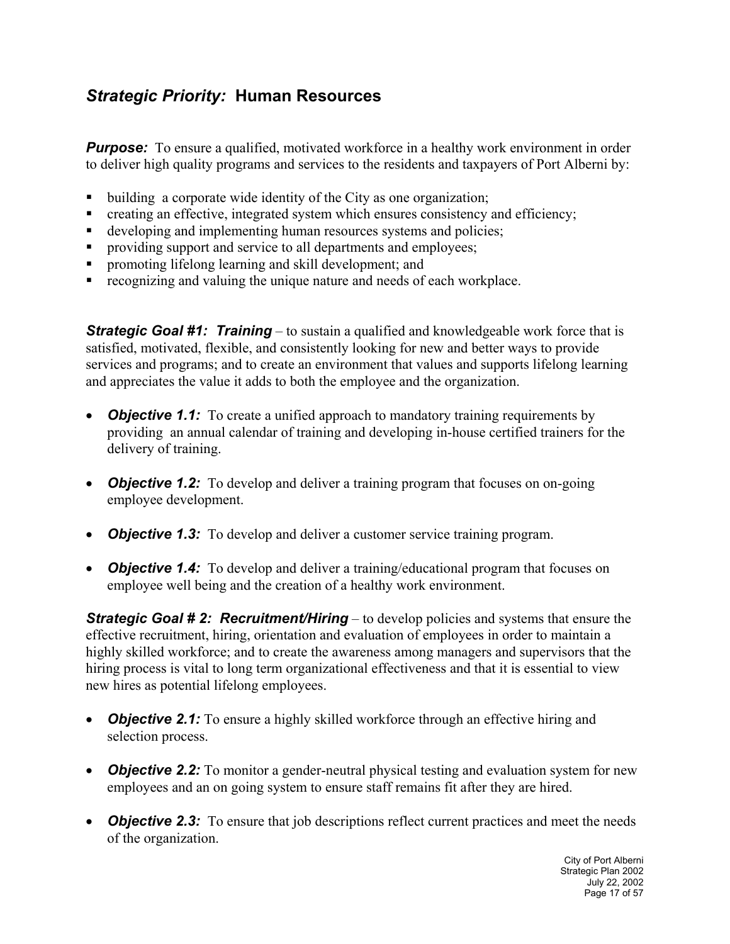## *Strategic Priority:* **Human Resources**

*Purpose:* To ensure a qualified, motivated workforce in a healthy work environment in order to deliver high quality programs and services to the residents and taxpayers of Port Alberni by:

- building a corporate wide identity of the City as one organization;
- creating an effective, integrated system which ensures consistency and efficiency;
- developing and implementing human resources systems and policies;
- **Peroviding support and service to all departments and employees;**
- **•** promoting lifelong learning and skill development; and
- recognizing and valuing the unique nature and needs of each workplace.

**Strategic Goal #1: Training** – to sustain a qualified and knowledgeable work force that is satisfied, motivated, flexible, and consistently looking for new and better ways to provide services and programs; and to create an environment that values and supports lifelong learning and appreciates the value it adds to both the employee and the organization.

- *Objective 1.1:* To create a unified approach to mandatory training requirements by providing an annual calendar of training and developing in-house certified trainers for the delivery of training.
- *Objective 1.2:* To develop and deliver a training program that focuses on on-going employee development.
- *Objective 1.3:* To develop and deliver a customer service training program.
- *Objective 1.4:* To develop and deliver a training/educational program that focuses on employee well being and the creation of a healthy work environment.

*Strategic Goal # 2: Recruitment/Hiring* – to develop policies and systems that ensure the effective recruitment, hiring, orientation and evaluation of employees in order to maintain a highly skilled workforce; and to create the awareness among managers and supervisors that the hiring process is vital to long term organizational effectiveness and that it is essential to view new hires as potential lifelong employees.

- *Objective 2.1:* To ensure a highly skilled workforce through an effective hiring and selection process.
- *Objective 2.2:* To monitor a gender-neutral physical testing and evaluation system for new employees and an on going system to ensure staff remains fit after they are hired.
- *Objective 2.3:* To ensure that job descriptions reflect current practices and meet the needs of the organization.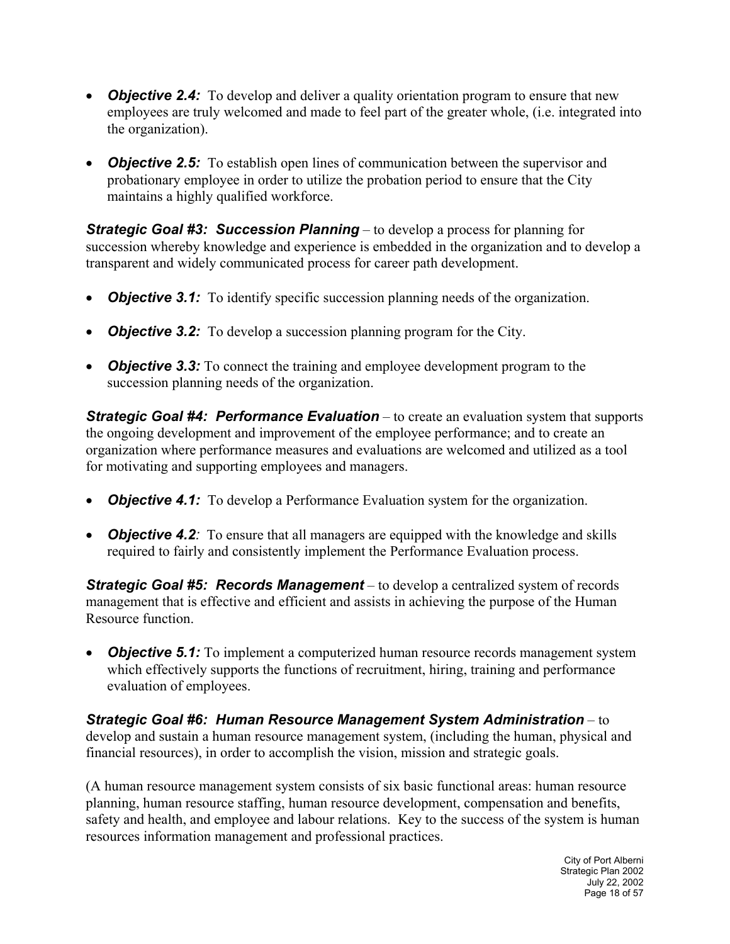- *Objective 2.4:* To develop and deliver a quality orientation program to ensure that new employees are truly welcomed and made to feel part of the greater whole, (i.e. integrated into the organization).
- *Objective 2.5:* To establish open lines of communication between the supervisor and probationary employee in order to utilize the probation period to ensure that the City maintains a highly qualified workforce.

*Strategic Goal #3: Succession Planning* – to develop a process for planning for succession whereby knowledge and experience is embedded in the organization and to develop a transparent and widely communicated process for career path development.

- **Objective 3.1:** To identify specific succession planning needs of the organization.
- *Objective 3.2:* To develop a succession planning program for the City.
- *Objective 3.3:* To connect the training and employee development program to the succession planning needs of the organization.

*Strategic Goal #4: Performance Evaluation* – to create an evaluation system that supports the ongoing development and improvement of the employee performance; and to create an organization where performance measures and evaluations are welcomed and utilized as a tool for motivating and supporting employees and managers.

- *Objective 4.1:* To develop a Performance Evaluation system for the organization.
- *Objective 4.2*: To ensure that all managers are equipped with the knowledge and skills required to fairly and consistently implement the Performance Evaluation process.

*Strategic Goal #5: Records Management* – to develop a centralized system of records management that is effective and efficient and assists in achieving the purpose of the Human Resource function.

**Objective 5.1:** To implement a computerized human resource records management system which effectively supports the functions of recruitment, hiring, training and performance evaluation of employees.

#### *Strategic Goal #6: Human Resource Management System Administration* – to develop and sustain a human resource management system, (including the human, physical and financial resources), in order to accomplish the vision, mission and strategic goals.

(A human resource management system consists of six basic functional areas: human resource planning, human resource staffing, human resource development, compensation and benefits, safety and health, and employee and labour relations. Key to the success of the system is human resources information management and professional practices.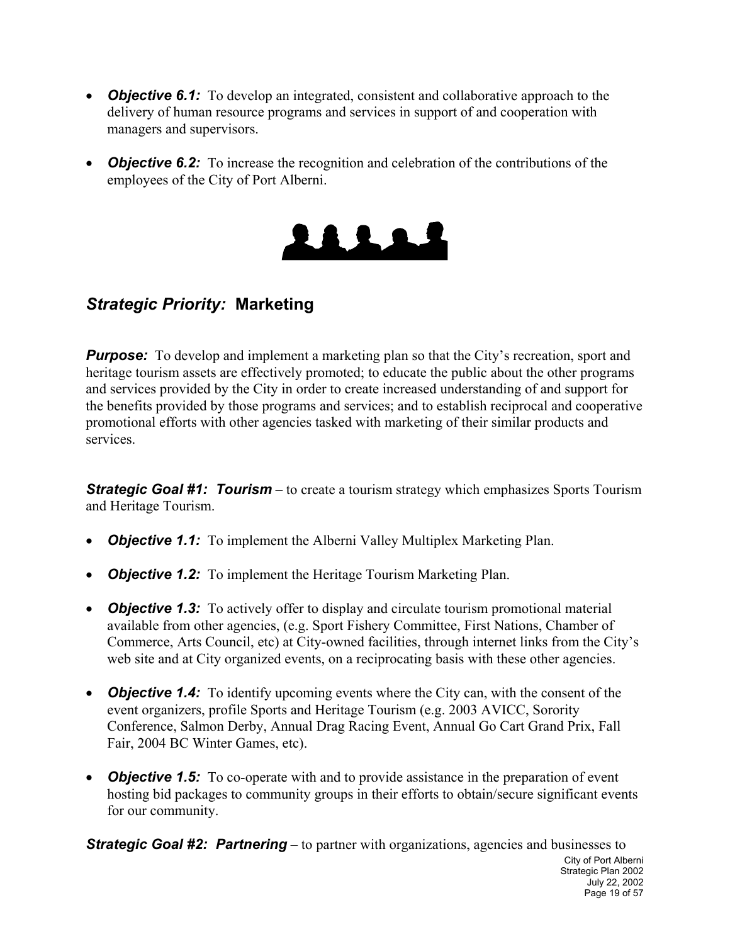- *Objective 6.1:* To develop an integrated, consistent and collaborative approach to the delivery of human resource programs and services in support of and cooperation with managers and supervisors.
- *Objective 6.2:* To increase the recognition and celebration of the contributions of the employees of the City of Port Alberni.



## *Strategic Priority:* **Marketing**

**Purpose:** To develop and implement a marketing plan so that the City's recreation, sport and heritage tourism assets are effectively promoted; to educate the public about the other programs and services provided by the City in order to create increased understanding of and support for the benefits provided by those programs and services; and to establish reciprocal and cooperative promotional efforts with other agencies tasked with marketing of their similar products and services.

*Strategic Goal #1: Tourism* – to create a tourism strategy which emphasizes Sports Tourism and Heritage Tourism.

- *Objective 1.1:* To implement the Alberni Valley Multiplex Marketing Plan.
- **Objective 1.2:** To implement the Heritage Tourism Marketing Plan.
- *Objective 1.3:* To actively offer to display and circulate tourism promotional material available from other agencies, (e.g. Sport Fishery Committee, First Nations, Chamber of Commerce, Arts Council, etc) at City-owned facilities, through internet links from the City's web site and at City organized events, on a reciprocating basis with these other agencies.
- *Objective 1.4:* To identify upcoming events where the City can, with the consent of the event organizers, profile Sports and Heritage Tourism (e.g. 2003 AVICC, Sorority Conference, Salmon Derby, Annual Drag Racing Event, Annual Go Cart Grand Prix, Fall Fair, 2004 BC Winter Games, etc).
- *Objective 1.5:* To co-operate with and to provide assistance in the preparation of event hosting bid packages to community groups in their efforts to obtain/secure significant events for our community.

City of Port Alberni Strategic Plan 2002 July 22, 2002 Page 19 of 57 *Strategic Goal #2: Partnering* – to partner with organizations, agencies and businesses to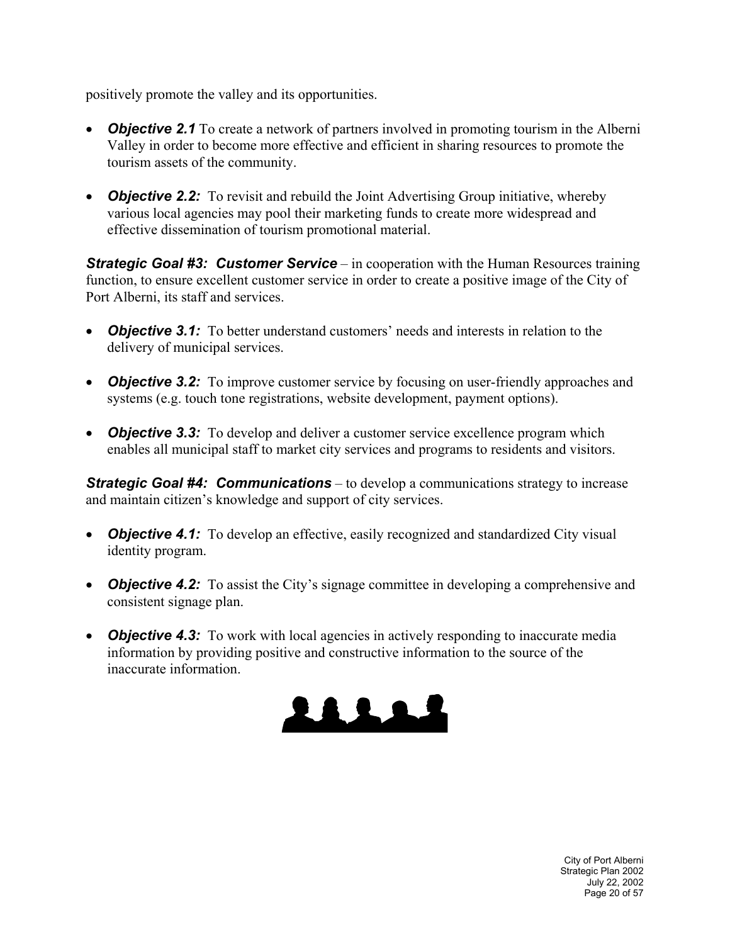positively promote the valley and its opportunities.

- *Objective 2.1* To create a network of partners involved in promoting tourism in the Alberni Valley in order to become more effective and efficient in sharing resources to promote the tourism assets of the community.
- *Objective 2.2:* To revisit and rebuild the Joint Advertising Group initiative, whereby various local agencies may pool their marketing funds to create more widespread and effective dissemination of tourism promotional material.

*Strategic Goal #3: Customer Service* – in cooperation with the Human Resources training function, to ensure excellent customer service in order to create a positive image of the City of Port Alberni, its staff and services.

- *Objective 3.1:* To better understand customers' needs and interests in relation to the delivery of municipal services.
- *Objective 3.2:* To improve customer service by focusing on user-friendly approaches and systems (e.g. touch tone registrations, website development, payment options).
- *Objective 3.3:* To develop and deliver a customer service excellence program which enables all municipal staff to market city services and programs to residents and visitors.

*Strategic Goal #4: Communications* – to develop a communications strategy to increase and maintain citizen's knowledge and support of city services.

- *Objective 4.1:* To develop an effective, easily recognized and standardized City visual identity program.
- **Objective 4.2:** To assist the City's signage committee in developing a comprehensive and consistent signage plan.
- *Objective 4.3:* To work with local agencies in actively responding to inaccurate media information by providing positive and constructive information to the source of the inaccurate information.

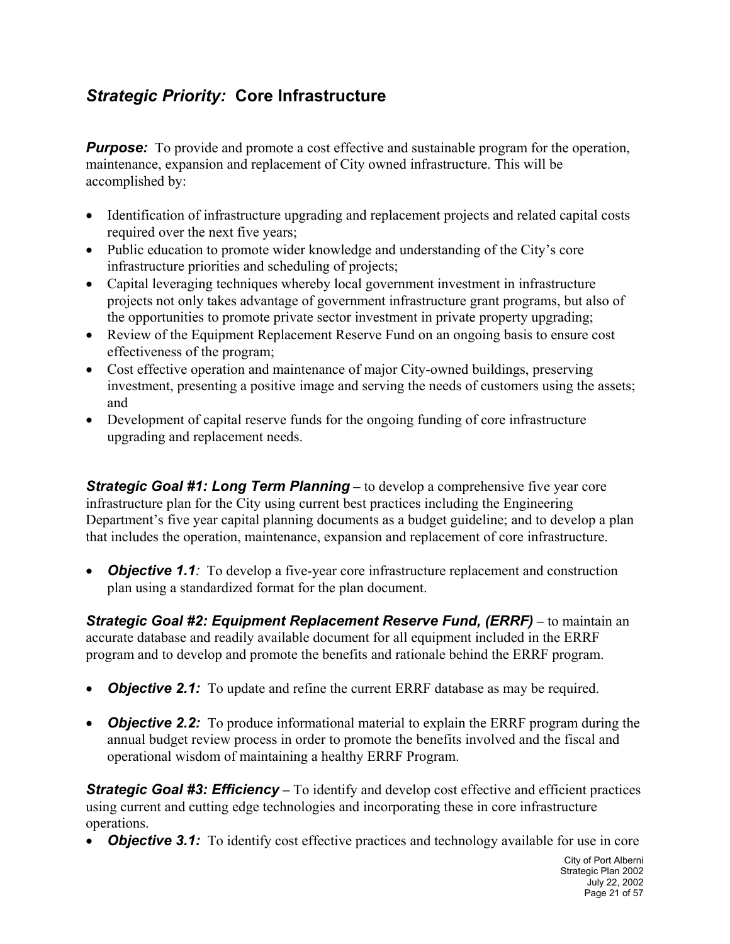## *Strategic Priority:* **Core Infrastructure**

*Purpose:* To provide and promote a cost effective and sustainable program for the operation, maintenance, expansion and replacement of City owned infrastructure. This will be accomplished by:

- Identification of infrastructure upgrading and replacement projects and related capital costs required over the next five years;
- Public education to promote wider knowledge and understanding of the City's core infrastructure priorities and scheduling of projects;
- Capital leveraging techniques whereby local government investment in infrastructure projects not only takes advantage of government infrastructure grant programs, but also of the opportunities to promote private sector investment in private property upgrading;
- Review of the Equipment Replacement Reserve Fund on an ongoing basis to ensure cost effectiveness of the program;
- Cost effective operation and maintenance of major City-owned buildings, preserving investment, presenting a positive image and serving the needs of customers using the assets; and
- Development of capital reserve funds for the ongoing funding of core infrastructure upgrading and replacement needs.

*Strategic Goal #1: Long Term Planning* – to develop a comprehensive five year core infrastructure plan for the City using current best practices including the Engineering Department's five year capital planning documents as a budget guideline; and to develop a plan that includes the operation, maintenance, expansion and replacement of core infrastructure.

• *Objective 1.1:* To develop a five-year core infrastructure replacement and construction plan using a standardized format for the plan document.

**Strategic Goal #2: Equipment Replacement Reserve Fund, (ERRF) – to maintain an** accurate database and readily available document for all equipment included in the ERRF program and to develop and promote the benefits and rationale behind the ERRF program.

- **Objective 2.1:** To update and refine the current ERRF database as may be required.
- *Objective 2.2:* To produce informational material to explain the ERRF program during the annual budget review process in order to promote the benefits involved and the fiscal and operational wisdom of maintaining a healthy ERRF Program.

**Strategic Goal #3: Efficiency** – To identify and develop cost effective and efficient practices using current and cutting edge technologies and incorporating these in core infrastructure operations.

*Objective 3.1:* To identify cost effective practices and technology available for use in core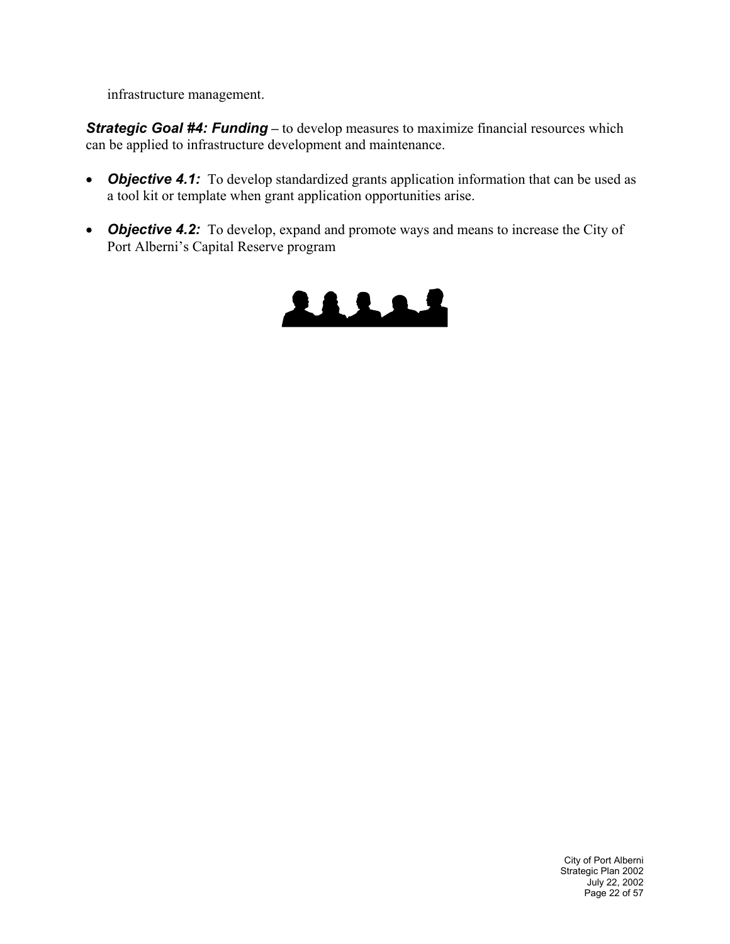infrastructure management.

**Strategic Goal #4: Funding** – to develop measures to maximize financial resources which can be applied to infrastructure development and maintenance.

- **Objective 4.1:** To develop standardized grants application information that can be used as a tool kit or template when grant application opportunities arise.
- *Objective 4.2:* To develop, expand and promote ways and means to increase the City of Port Alberni's Capital Reserve program

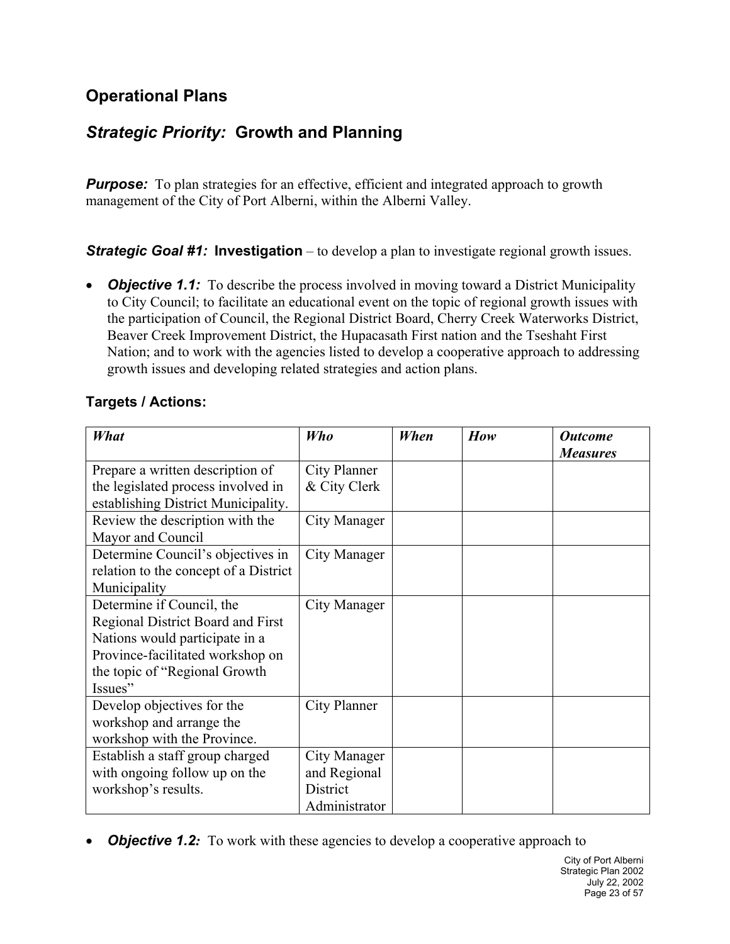## **Operational Plans**

## *Strategic Priority:* **Growth and Planning**

**Purpose:** To plan strategies for an effective, efficient and integrated approach to growth management of the City of Port Alberni, within the Alberni Valley.

**Strategic Goal #1: Investigation** – to develop a plan to investigate regional growth issues.

• *Objective 1.1:* To describe the process involved in moving toward a District Municipality to City Council; to facilitate an educational event on the topic of regional growth issues with the participation of Council, the Regional District Board, Cherry Creek Waterworks District, Beaver Creek Improvement District, the Hupacasath First nation and the Tseshaht First Nation; and to work with the agencies listed to develop a cooperative approach to addressing growth issues and developing related strategies and action plans.

#### **Targets / Actions:**

| What                                  | Who                 | When | How | <b>Outcome</b>  |
|---------------------------------------|---------------------|------|-----|-----------------|
|                                       |                     |      |     | <b>Measures</b> |
| Prepare a written description of      | City Planner        |      |     |                 |
| the legislated process involved in    | & City Clerk        |      |     |                 |
| establishing District Municipality.   |                     |      |     |                 |
| Review the description with the       | <b>City Manager</b> |      |     |                 |
| Mayor and Council                     |                     |      |     |                 |
| Determine Council's objectives in     | City Manager        |      |     |                 |
| relation to the concept of a District |                     |      |     |                 |
| Municipality                          |                     |      |     |                 |
| Determine if Council, the             | City Manager        |      |     |                 |
| Regional District Board and First     |                     |      |     |                 |
| Nations would participate in a        |                     |      |     |                 |
| Province-facilitated workshop on      |                     |      |     |                 |
| the topic of "Regional Growth"        |                     |      |     |                 |
| Issues"                               |                     |      |     |                 |
| Develop objectives for the            | City Planner        |      |     |                 |
| workshop and arrange the              |                     |      |     |                 |
| workshop with the Province.           |                     |      |     |                 |
| Establish a staff group charged       | City Manager        |      |     |                 |
| with ongoing follow up on the         | and Regional        |      |     |                 |
| workshop's results.                   | District            |      |     |                 |
|                                       | Administrator       |      |     |                 |

• *Objective 1.2:* To work with these agencies to develop a cooperative approach to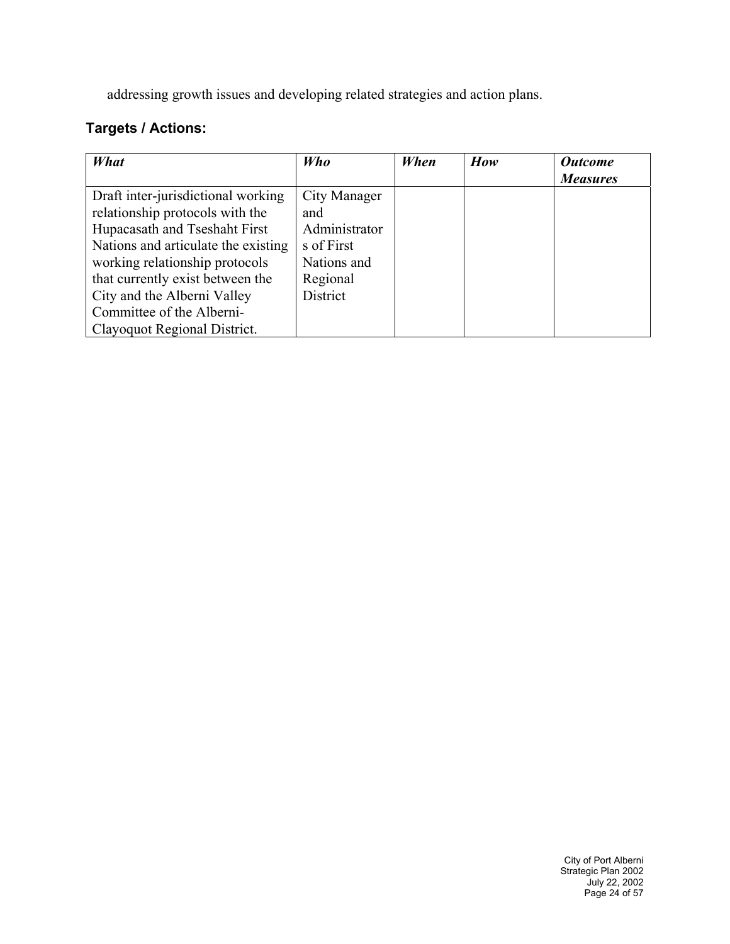addressing growth issues and developing related strategies and action plans.

| What                                | Who           | When | How | <b>Outcome</b>  |
|-------------------------------------|---------------|------|-----|-----------------|
|                                     |               |      |     | <b>Measures</b> |
| Draft inter-jurisdictional working  | City Manager  |      |     |                 |
| relationship protocols with the     | and           |      |     |                 |
| Hupacasath and Tseshaht First       | Administrator |      |     |                 |
| Nations and articulate the existing | s of First    |      |     |                 |
| working relationship protocols      | Nations and   |      |     |                 |
| that currently exist between the    | Regional      |      |     |                 |
| City and the Alberni Valley         | District      |      |     |                 |
| Committee of the Alberni-           |               |      |     |                 |
| Clayoquot Regional District.        |               |      |     |                 |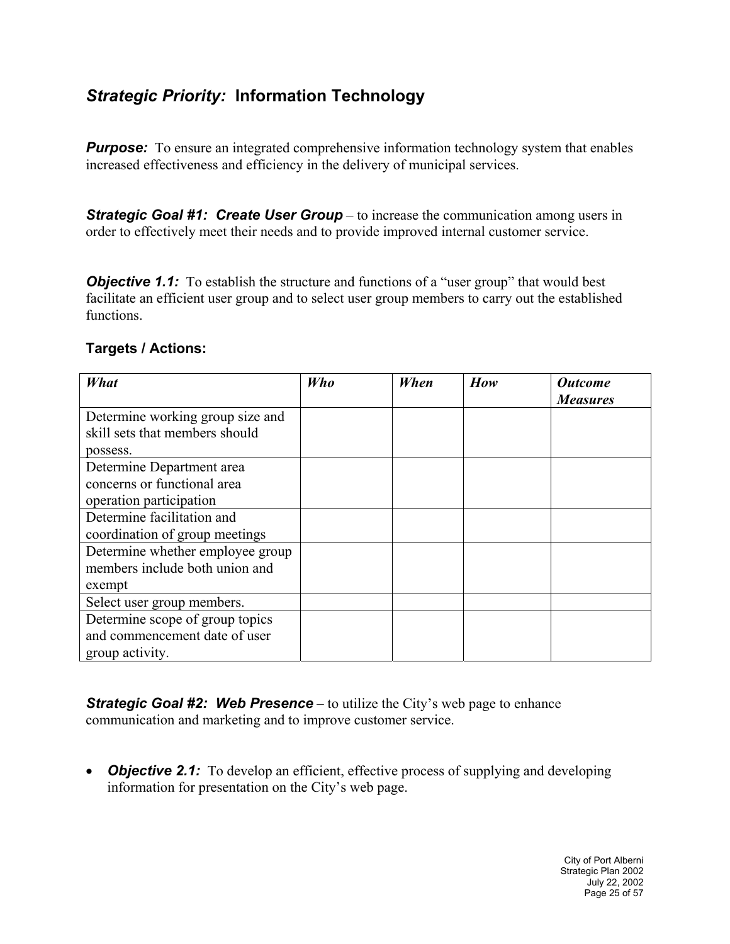## *Strategic Priority:* **Information Technology**

**Purpose:** To ensure an integrated comprehensive information technology system that enables increased effectiveness and efficiency in the delivery of municipal services.

*Strategic Goal #1: Create User Group* – to increase the communication among users in order to effectively meet their needs and to provide improved internal customer service.

**Objective 1.1:** To establish the structure and functions of a "user group" that would best facilitate an efficient user group and to select user group members to carry out the established functions.

| What                             | Who | When | How | <b>Outcome</b><br><b>Measures</b> |
|----------------------------------|-----|------|-----|-----------------------------------|
| Determine working group size and |     |      |     |                                   |
| skill sets that members should   |     |      |     |                                   |
| possess.                         |     |      |     |                                   |
| Determine Department area        |     |      |     |                                   |
| concerns or functional area      |     |      |     |                                   |
| operation participation          |     |      |     |                                   |
| Determine facilitation and       |     |      |     |                                   |
| coordination of group meetings   |     |      |     |                                   |
| Determine whether employee group |     |      |     |                                   |
| members include both union and   |     |      |     |                                   |
| exempt                           |     |      |     |                                   |
| Select user group members.       |     |      |     |                                   |
| Determine scope of group topics  |     |      |     |                                   |
| and commencement date of user    |     |      |     |                                   |
| group activity.                  |     |      |     |                                   |

#### **Targets / Actions:**

*Strategic Goal #2: Web Presence* – to utilize the City's web page to enhance communication and marketing and to improve customer service.

• *Objective 2.1:* To develop an efficient, effective process of supplying and developing information for presentation on the City's web page.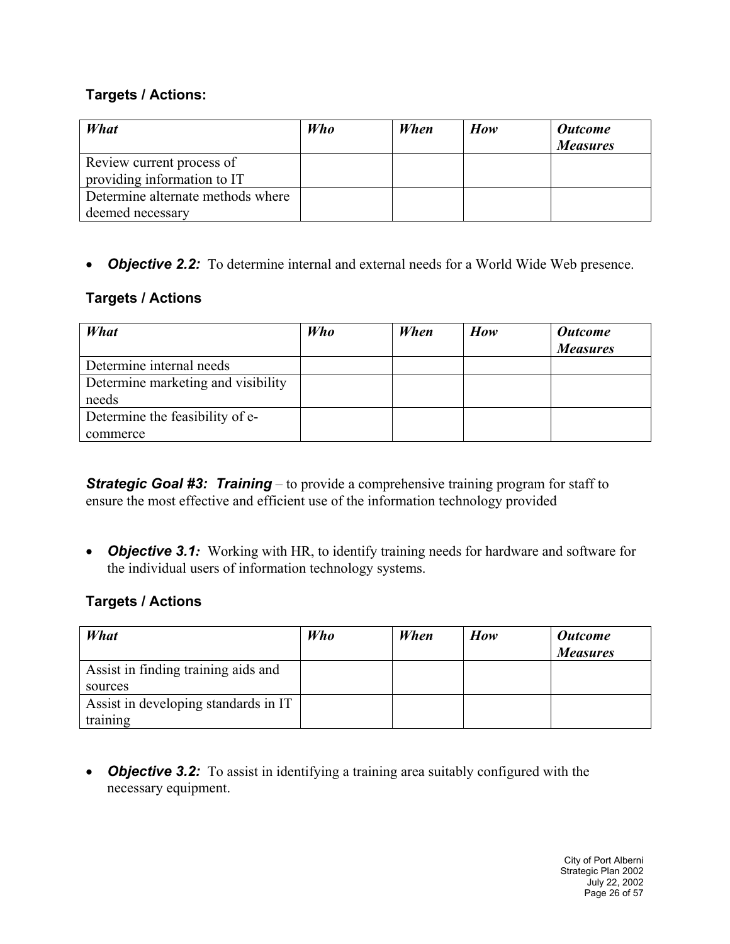#### **Targets / Actions:**

| What                              | Who | When | How | <b>Outcome</b><br><b>Measures</b> |
|-----------------------------------|-----|------|-----|-----------------------------------|
| Review current process of         |     |      |     |                                   |
| providing information to IT       |     |      |     |                                   |
| Determine alternate methods where |     |      |     |                                   |
| deemed necessary                  |     |      |     |                                   |

• *Objective 2.2:* To determine internal and external needs for a World Wide Web presence.

#### **Targets / Actions**

| What                               | <b>Who</b> | When | How | <b>Outcome</b><br><b>Measures</b> |
|------------------------------------|------------|------|-----|-----------------------------------|
| Determine internal needs           |            |      |     |                                   |
| Determine marketing and visibility |            |      |     |                                   |
| needs                              |            |      |     |                                   |
| Determine the feasibility of e-    |            |      |     |                                   |
| commerce                           |            |      |     |                                   |

*Strategic Goal #3: Training* – to provide a comprehensive training program for staff to ensure the most effective and efficient use of the information technology provided

• *Objective 3.1:* Working with HR, to identify training needs for hardware and software for the individual users of information technology systems.

#### **Targets / Actions**

| What                                 | Who | When | How | <b>Outcome</b><br><b>Measures</b> |
|--------------------------------------|-----|------|-----|-----------------------------------|
| Assist in finding training aids and  |     |      |     |                                   |
| sources                              |     |      |     |                                   |
| Assist in developing standards in IT |     |      |     |                                   |
| training                             |     |      |     |                                   |

• *Objective 3.2:* To assist in identifying a training area suitably configured with the necessary equipment.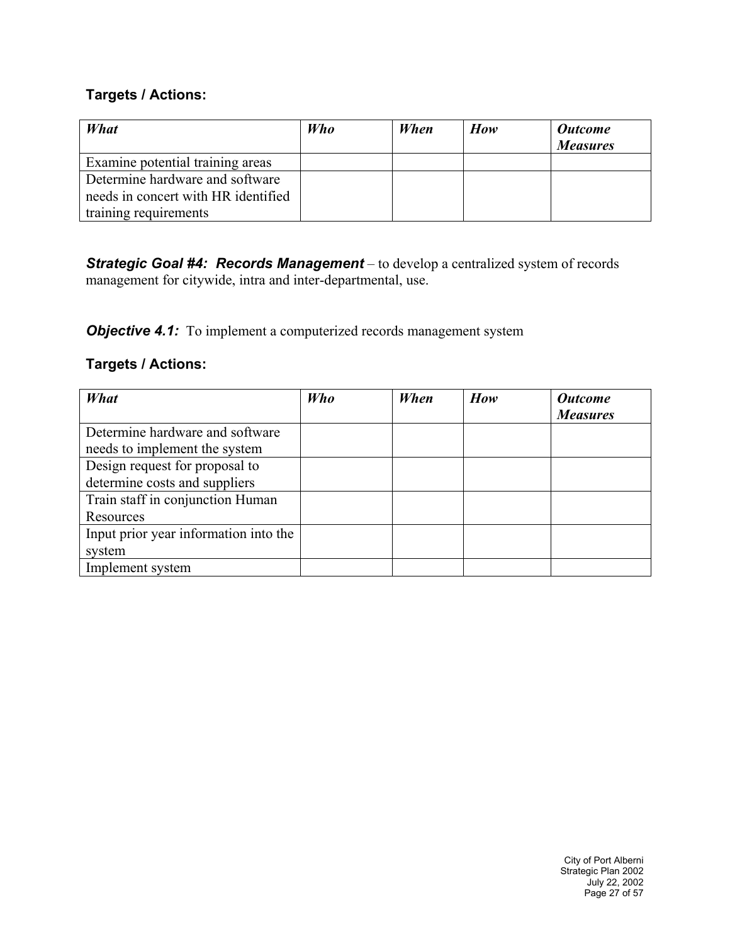#### **Targets / Actions:**

| What                                | <b>Who</b> | When | How | <b>Outcome</b><br><b>Measures</b> |
|-------------------------------------|------------|------|-----|-----------------------------------|
| Examine potential training areas    |            |      |     |                                   |
| Determine hardware and software     |            |      |     |                                   |
| needs in concert with HR identified |            |      |     |                                   |
| training requirements               |            |      |     |                                   |

*Strategic Goal #4: Records Management* – to develop a centralized system of records management for citywide, intra and inter-departmental, use.

*Objective 4.1:* To implement a computerized records management system

| What                                  | Who | When | How | <b>Outcome</b>  |
|---------------------------------------|-----|------|-----|-----------------|
|                                       |     |      |     | <b>Measures</b> |
| Determine hardware and software       |     |      |     |                 |
| needs to implement the system         |     |      |     |                 |
| Design request for proposal to        |     |      |     |                 |
| determine costs and suppliers         |     |      |     |                 |
| Train staff in conjunction Human      |     |      |     |                 |
| Resources                             |     |      |     |                 |
| Input prior year information into the |     |      |     |                 |
| system                                |     |      |     |                 |
| Implement system                      |     |      |     |                 |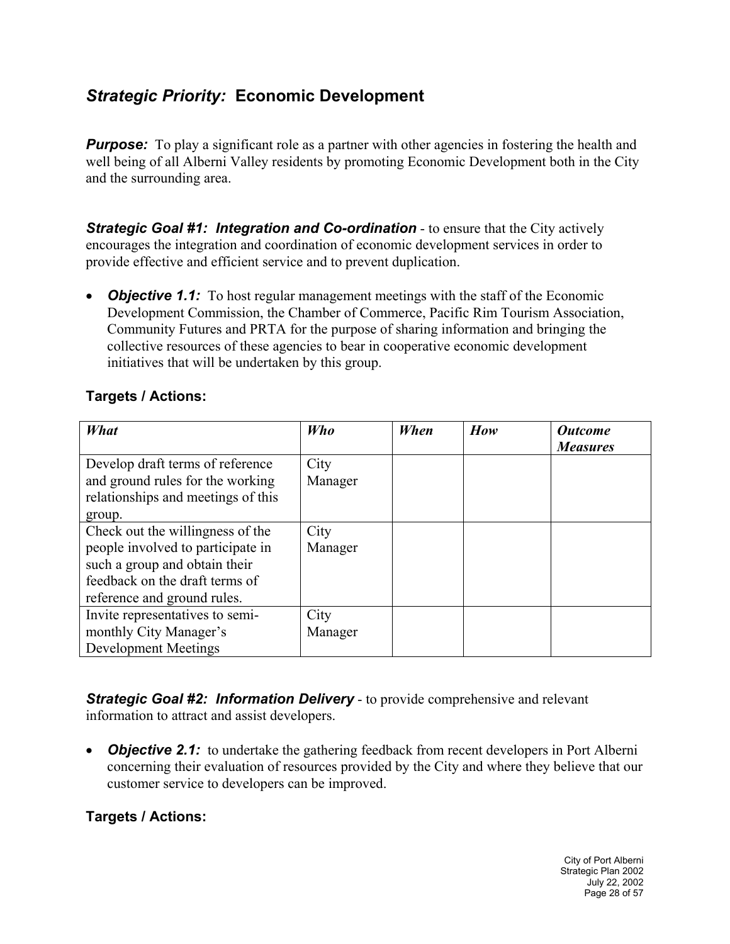## *Strategic Priority:* **Economic Development**

*Purpose:* To play a significant role as a partner with other agencies in fostering the health and well being of all Alberni Valley residents by promoting Economic Development both in the City and the surrounding area.

*Strategic Goal #1:**Integration and Co-ordination* - to ensure that the City actively encourages the integration and coordination of economic development services in order to provide effective and efficient service and to prevent duplication.

• *Objective 1.1:* To host regular management meetings with the staff of the Economic Development Commission, the Chamber of Commerce, Pacific Rim Tourism Association, Community Futures and PRTA for the purpose of sharing information and bringing the collective resources of these agencies to bear in cooperative economic development initiatives that will be undertaken by this group.

| What                                                                                                                                                                              | Who             | When | How | <b>Outcome</b><br><b>Measures</b> |
|-----------------------------------------------------------------------------------------------------------------------------------------------------------------------------------|-----------------|------|-----|-----------------------------------|
| Develop draft terms of reference<br>and ground rules for the working                                                                                                              | City<br>Manager |      |     |                                   |
| relationships and meetings of this                                                                                                                                                |                 |      |     |                                   |
| group.<br>Check out the willingness of the<br>people involved to participate in<br>such a group and obtain their<br>feedback on the draft terms of<br>reference and ground rules. | City<br>Manager |      |     |                                   |
| Invite representatives to semi-<br>monthly City Manager's<br>Development Meetings                                                                                                 | City<br>Manager |      |     |                                   |

#### **Targets / Actions:**

*Strategic Goal #2: Information Delivery* - to provide comprehensive and relevant information to attract and assist developers.

• *Objective 2.1:* to undertake the gathering feedback from recent developers in Port Alberni concerning their evaluation of resources provided by the City and where they believe that our customer service to developers can be improved.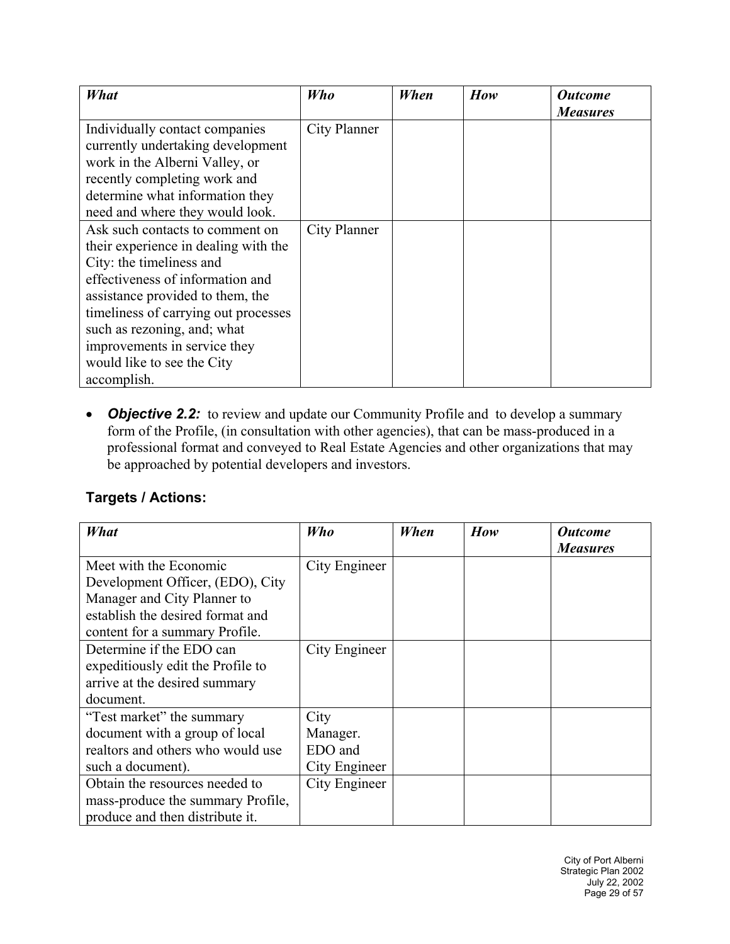| What                                 | Who          | When | How | <b>Outcome</b>  |
|--------------------------------------|--------------|------|-----|-----------------|
|                                      |              |      |     | <b>Measures</b> |
| Individually contact companies       | City Planner |      |     |                 |
| currently undertaking development    |              |      |     |                 |
| work in the Alberni Valley, or       |              |      |     |                 |
| recently completing work and         |              |      |     |                 |
| determine what information they      |              |      |     |                 |
| need and where they would look.      |              |      |     |                 |
| Ask such contacts to comment on      | City Planner |      |     |                 |
| their experience in dealing with the |              |      |     |                 |
| City: the timeliness and             |              |      |     |                 |
| effectiveness of information and     |              |      |     |                 |
| assistance provided to them, the     |              |      |     |                 |
| timeliness of carrying out processes |              |      |     |                 |
| such as rezoning, and; what          |              |      |     |                 |
| improvements in service they         |              |      |     |                 |
| would like to see the City           |              |      |     |                 |
| accomplish.                          |              |      |     |                 |

• *Objective 2.2:* to review and update our Community Profile and to develop a summary form of the Profile, (in consultation with other agencies), that can be mass-produced in a professional format and conveyed to Real Estate Agencies and other organizations that may be approached by potential developers and investors.

| What                              | Who           | When | How | <i><b>Outcome</b></i> |
|-----------------------------------|---------------|------|-----|-----------------------|
|                                   |               |      |     | <b>Measures</b>       |
| Meet with the Economic            | City Engineer |      |     |                       |
| Development Officer, (EDO), City  |               |      |     |                       |
| Manager and City Planner to       |               |      |     |                       |
| establish the desired format and  |               |      |     |                       |
| content for a summary Profile.    |               |      |     |                       |
| Determine if the EDO can          | City Engineer |      |     |                       |
| expeditiously edit the Profile to |               |      |     |                       |
| arrive at the desired summary     |               |      |     |                       |
| document.                         |               |      |     |                       |
| "Test market" the summary         | City          |      |     |                       |
| document with a group of local    | Manager.      |      |     |                       |
| realtors and others who would use | EDO and       |      |     |                       |
| such a document).                 | City Engineer |      |     |                       |
| Obtain the resources needed to    | City Engineer |      |     |                       |
| mass-produce the summary Profile, |               |      |     |                       |
| produce and then distribute it.   |               |      |     |                       |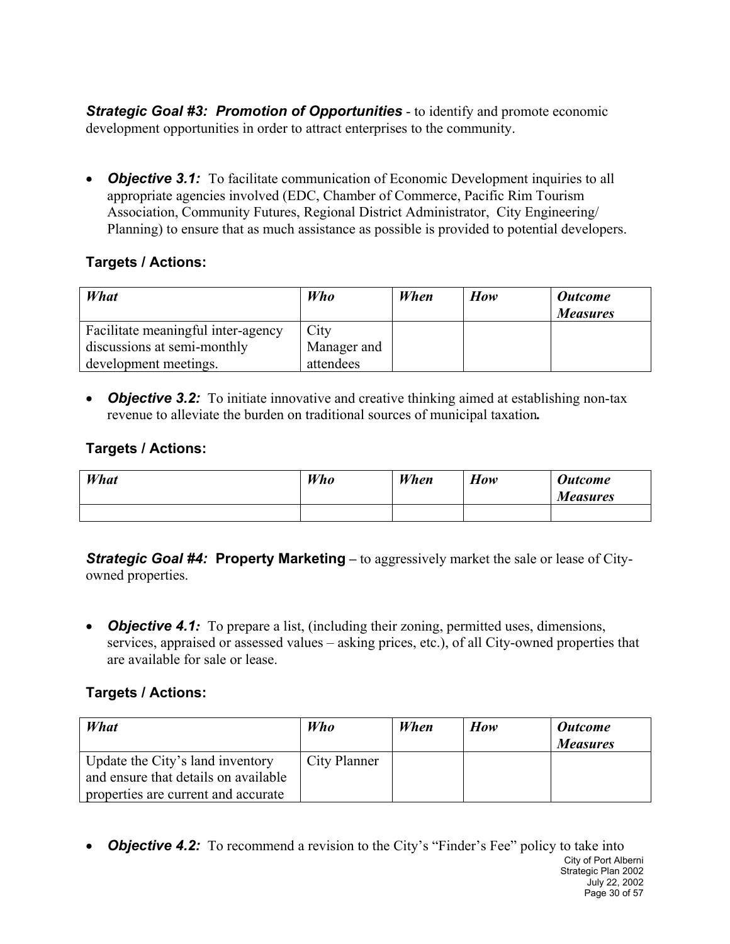*Strategic Goal #3: Promotion of Opportunities* - to identify and promote economic development opportunities in order to attract enterprises to the community.

• *Objective 3.1:* To facilitate communication of Economic Development inquiries to all appropriate agencies involved (EDC, Chamber of Commerce, Pacific Rim Tourism Association, Community Futures, Regional District Administrator, City Engineering/ Planning) to ensure that as much assistance as possible is provided to potential developers.

#### **Targets / Actions:**

| What                               | <b>Who</b>  | When | How | <b>Outcome</b><br><b>Measures</b> |
|------------------------------------|-------------|------|-----|-----------------------------------|
| Facilitate meaningful inter-agency | City        |      |     |                                   |
| discussions at semi-monthly        | Manager and |      |     |                                   |
| development meetings.              | attendees   |      |     |                                   |

• *Objective 3.2:* To initiate innovative and creative thinking aimed at establishing non-tax revenue to alleviate the burden on traditional sources of municipal taxation*.* 

#### **Targets / Actions:**

| What | Who | When | How | <b>Outcome</b><br><b>Measures</b> |
|------|-----|------|-----|-----------------------------------|
|      |     |      |     |                                   |

*Strategic Goal #4:* **Property Marketing** – to aggressively market the sale or lease of Cityowned properties.

• *Objective 4.1:* To prepare a list, (including their zoning, permitted uses, dimensions, services, appraised or assessed values – asking prices, etc.), of all City-owned properties that are available for sale or lease.

#### **Targets / Actions:**

| What                                                                     | Who          | When | How | <b>Outcome</b><br><b>Measures</b> |
|--------------------------------------------------------------------------|--------------|------|-----|-----------------------------------|
| Update the City's land inventory<br>and ensure that details on available | City Planner |      |     |                                   |
| properties are current and accurate                                      |              |      |     |                                   |

City of Port Alberni Strategic Plan 2002 July 22, 2002 Page 30 of 57 • **Objective 4.2:** To recommend a revision to the City's "Finder's Fee" policy to take into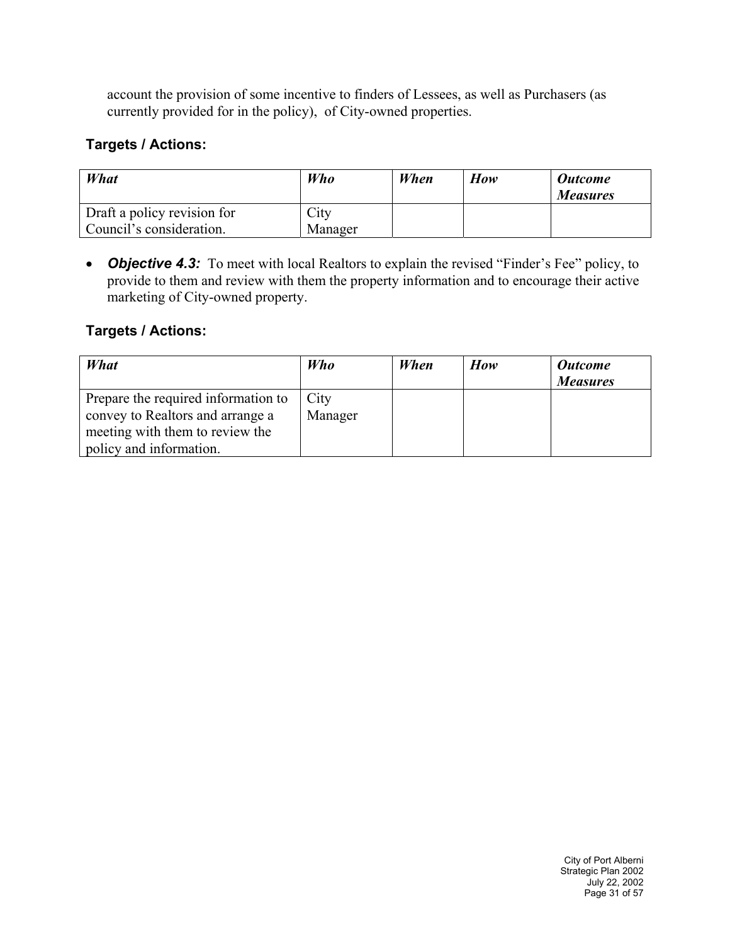account the provision of some incentive to finders of Lessees, as well as Purchasers (as currently provided for in the policy), of City-owned properties.

#### **Targets / Actions:**

| What                                                    | Who             | When | How | <b>Outcome</b><br><b>Measures</b> |
|---------------------------------------------------------|-----------------|------|-----|-----------------------------------|
| Draft a policy revision for<br>Council's consideration. | City<br>Manager |      |     |                                   |

• **Objective 4.3:** To meet with local Realtors to explain the revised "Finder's Fee" policy, to provide to them and review with them the property information and to encourage their active marketing of City-owned property.

| What                                                                                                                                  | <b>Who</b>      | When | How | <b>Outcome</b><br><b>Measures</b> |
|---------------------------------------------------------------------------------------------------------------------------------------|-----------------|------|-----|-----------------------------------|
| Prepare the required information to<br>convey to Realtors and arrange a<br>meeting with them to review the<br>policy and information. | City<br>Manager |      |     |                                   |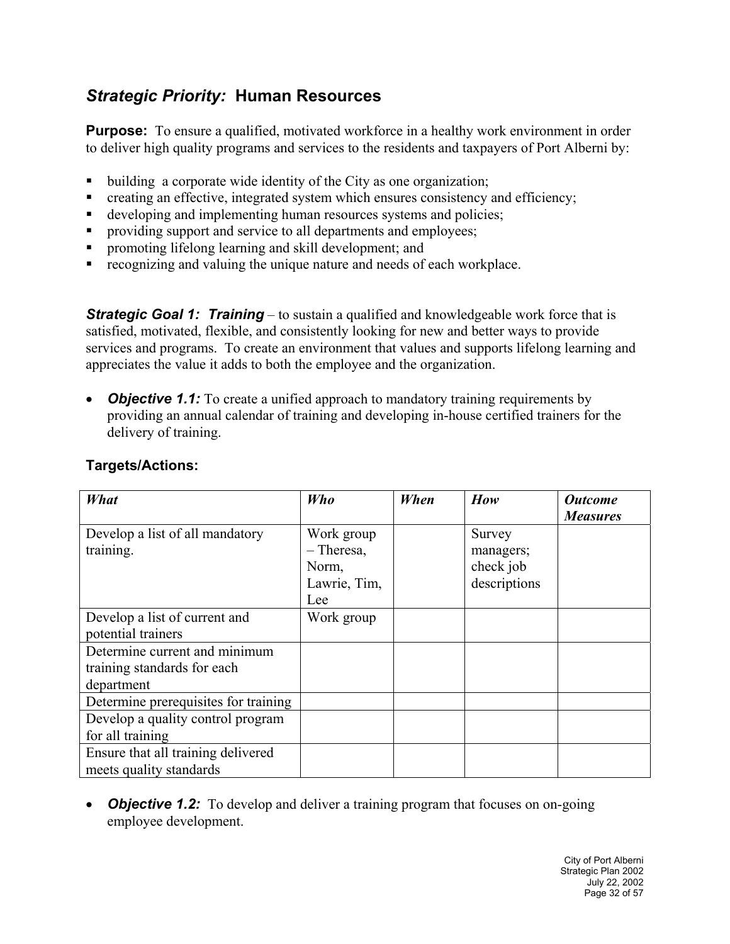## *Strategic Priority:* **Human Resources**

**Purpose:** To ensure a qualified, motivated workforce in a healthy work environment in order to deliver high quality programs and services to the residents and taxpayers of Port Alberni by:

- building a corporate wide identity of the City as one organization;
- creating an effective, integrated system which ensures consistency and efficiency;
- developing and implementing human resources systems and policies;
- **Peroviding support and service to all departments and employees;**
- **•** promoting lifelong learning and skill development; and
- recognizing and valuing the unique nature and needs of each workplace.

**Strategic Goal 1: Training** – to sustain a qualified and knowledgeable work force that is satisfied, motivated, flexible, and consistently looking for new and better ways to provide services and programs. To create an environment that values and supports lifelong learning and appreciates the value it adds to both the employee and the organization.

*Objective 1.1:* To create a unified approach to mandatory training requirements by providing an annual calendar of training and developing in-house certified trainers for the delivery of training.

| What                                 | <b>Who</b>   | When | How          | <b>Outcome</b>  |
|--------------------------------------|--------------|------|--------------|-----------------|
|                                      |              |      |              | <b>Measures</b> |
| Develop a list of all mandatory      | Work group   |      | Survey       |                 |
| training.                            | $-$ Theresa, |      | managers;    |                 |
|                                      | Norm,        |      | check job    |                 |
|                                      | Lawrie, Tim, |      | descriptions |                 |
|                                      | Lee          |      |              |                 |
| Develop a list of current and        | Work group   |      |              |                 |
| potential trainers                   |              |      |              |                 |
| Determine current and minimum        |              |      |              |                 |
| training standards for each          |              |      |              |                 |
| department                           |              |      |              |                 |
| Determine prerequisites for training |              |      |              |                 |
| Develop a quality control program    |              |      |              |                 |
| for all training                     |              |      |              |                 |
| Ensure that all training delivered   |              |      |              |                 |
| meets quality standards              |              |      |              |                 |

#### **Targets/Actions:**

• *Objective 1.2:* To develop and deliver a training program that focuses on on-going employee development.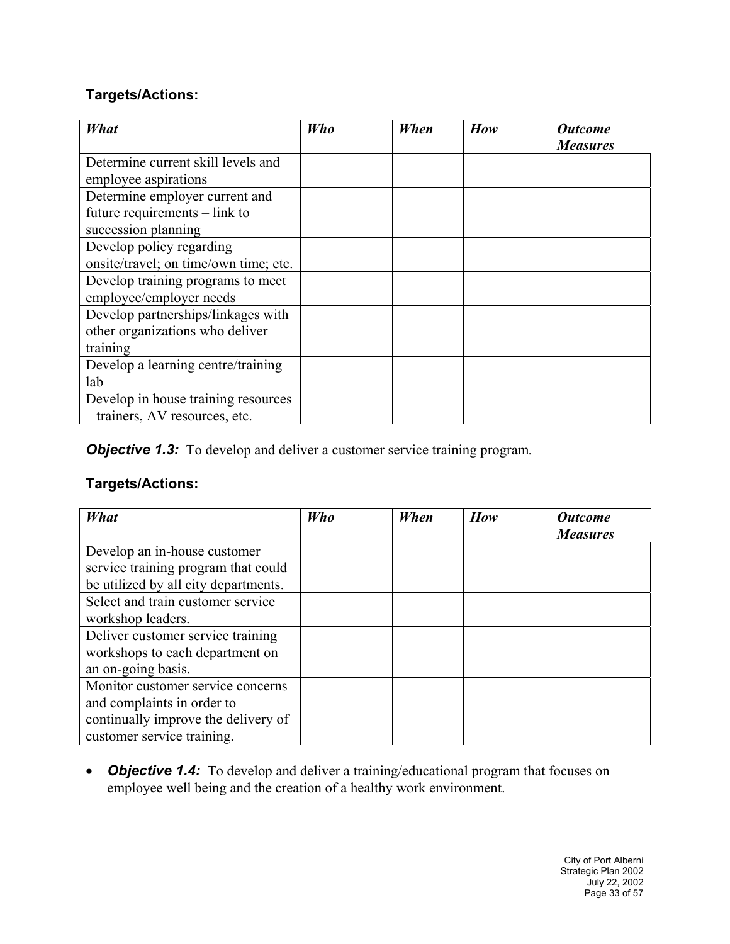#### **Targets/Actions:**

| What                                  | Who | When | How | <b>Outcome</b>  |
|---------------------------------------|-----|------|-----|-----------------|
|                                       |     |      |     | <b>Measures</b> |
| Determine current skill levels and    |     |      |     |                 |
| employee aspirations                  |     |      |     |                 |
| Determine employer current and        |     |      |     |                 |
| future requirements – link to         |     |      |     |                 |
| succession planning                   |     |      |     |                 |
| Develop policy regarding              |     |      |     |                 |
| onsite/travel; on time/own time; etc. |     |      |     |                 |
| Develop training programs to meet     |     |      |     |                 |
| employee/employer needs               |     |      |     |                 |
| Develop partnerships/linkages with    |     |      |     |                 |
| other organizations who deliver       |     |      |     |                 |
| training                              |     |      |     |                 |
| Develop a learning centre/training    |     |      |     |                 |
| lab                                   |     |      |     |                 |
| Develop in house training resources   |     |      |     |                 |
| - trainers, AV resources, etc.        |     |      |     |                 |

*Objective 1.3:* To develop and deliver a customer service training program.

#### **Targets/Actions:**

| What                                                                                                                                 | Who | When | How | <b>Outcome</b><br><b>Measures</b> |
|--------------------------------------------------------------------------------------------------------------------------------------|-----|------|-----|-----------------------------------|
| Develop an in-house customer<br>service training program that could<br>be utilized by all city departments.                          |     |      |     |                                   |
| Select and train customer service<br>workshop leaders.                                                                               |     |      |     |                                   |
| Deliver customer service training<br>workshops to each department on<br>an on-going basis.                                           |     |      |     |                                   |
| Monitor customer service concerns<br>and complaints in order to<br>continually improve the delivery of<br>customer service training. |     |      |     |                                   |

• *Objective 1.4:* To develop and deliver a training/educational program that focuses on employee well being and the creation of a healthy work environment.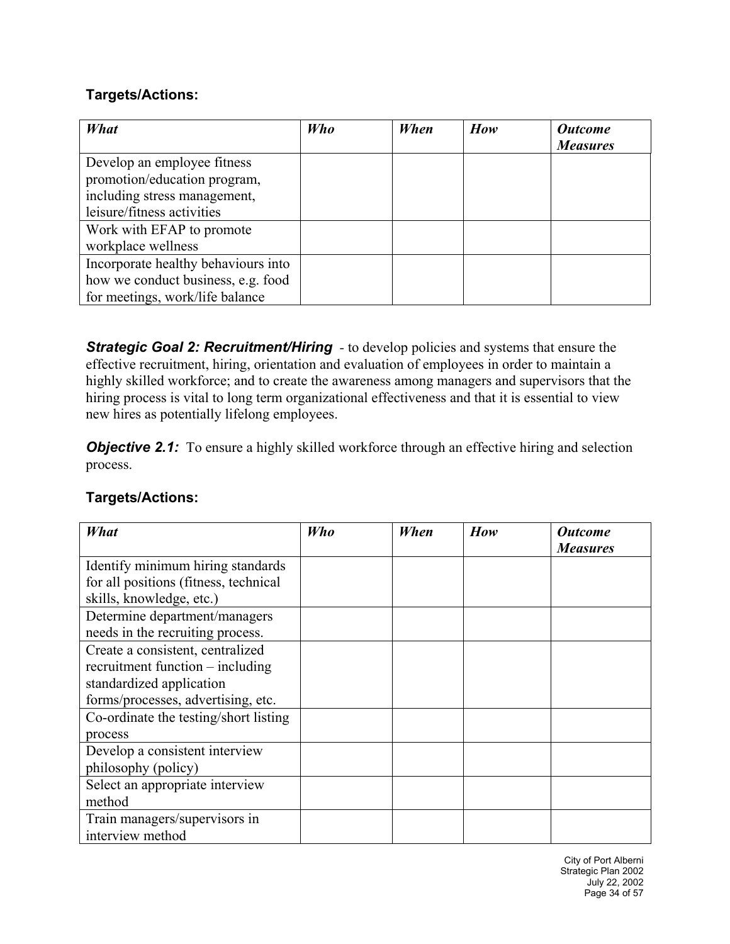#### **Targets/Actions:**

| What                                | Who | When | How | <b>Outcome</b><br><b>Measures</b> |
|-------------------------------------|-----|------|-----|-----------------------------------|
| Develop an employee fitness         |     |      |     |                                   |
| promotion/education program,        |     |      |     |                                   |
| including stress management,        |     |      |     |                                   |
| leisure/fitness activities          |     |      |     |                                   |
| Work with EFAP to promote           |     |      |     |                                   |
| workplace wellness                  |     |      |     |                                   |
| Incorporate healthy behaviours into |     |      |     |                                   |
| how we conduct business, e.g. food  |     |      |     |                                   |
| for meetings, work/life balance     |     |      |     |                                   |

**Strategic Goal 2: Recruitment/Hiring** - to develop policies and systems that ensure the effective recruitment, hiring, orientation and evaluation of employees in order to maintain a highly skilled workforce; and to create the awareness among managers and supervisors that the hiring process is vital to long term organizational effectiveness and that it is essential to view new hires as potentially lifelong employees.

*Objective 2.1:* To ensure a highly skilled workforce through an effective hiring and selection process.

| What                                  | Who | When | How | <b>Outcome</b>  |
|---------------------------------------|-----|------|-----|-----------------|
|                                       |     |      |     | <b>Measures</b> |
| Identify minimum hiring standards     |     |      |     |                 |
| for all positions (fitness, technical |     |      |     |                 |
| skills, knowledge, etc.)              |     |      |     |                 |
| Determine department/managers         |     |      |     |                 |
| needs in the recruiting process.      |     |      |     |                 |
| Create a consistent, centralized      |     |      |     |                 |
| recruitment function – including      |     |      |     |                 |
| standardized application              |     |      |     |                 |
| forms/processes, advertising, etc.    |     |      |     |                 |
| Co-ordinate the testing/short listing |     |      |     |                 |
| process                               |     |      |     |                 |
| Develop a consistent interview        |     |      |     |                 |
| philosophy (policy)                   |     |      |     |                 |
| Select an appropriate interview       |     |      |     |                 |
| method                                |     |      |     |                 |
| Train managers/supervisors in         |     |      |     |                 |
| interview method                      |     |      |     |                 |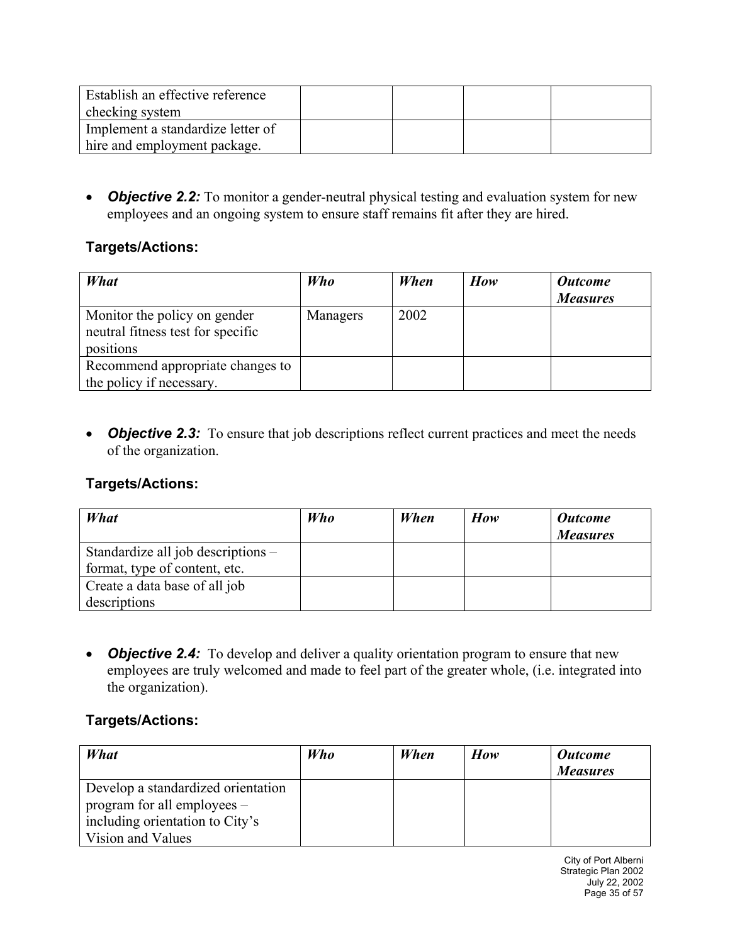| Establish an effective reference  |  |  |
|-----------------------------------|--|--|
| checking system                   |  |  |
| Implement a standardize letter of |  |  |
| hire and employment package.      |  |  |

• *Objective 2.2:* To monitor a gender-neutral physical testing and evaluation system for new employees and an ongoing system to ensure staff remains fit after they are hired.

#### **Targets/Actions:**

| What                                                                           | Who      | When | How | <b>Outcome</b><br><b>Measures</b> |
|--------------------------------------------------------------------------------|----------|------|-----|-----------------------------------|
| Monitor the policy on gender<br>neutral fitness test for specific<br>positions | Managers | 2002 |     |                                   |
| Recommend appropriate changes to<br>the policy if necessary.                   |          |      |     |                                   |

• *Objective 2.3:* To ensure that job descriptions reflect current practices and meet the needs of the organization.

#### **Targets/Actions:**

| What                               | <b>Who</b> | When | How | <b>Outcome</b><br><b>Measures</b> |
|------------------------------------|------------|------|-----|-----------------------------------|
| Standardize all job descriptions – |            |      |     |                                   |
| format, type of content, etc.      |            |      |     |                                   |
| Create a data base of all job      |            |      |     |                                   |
| descriptions                       |            |      |     |                                   |

• *Objective 2.4:* To develop and deliver a quality orientation program to ensure that new employees are truly welcomed and made to feel part of the greater whole, (i.e. integrated into the organization).

| What                                                                                                                      | <b>Who</b> | When | How | <b>Outcome</b><br><b>Measures</b> |
|---------------------------------------------------------------------------------------------------------------------------|------------|------|-----|-----------------------------------|
| Develop a standardized orientation<br>program for all employees –<br>including orientation to City's<br>Vision and Values |            |      |     |                                   |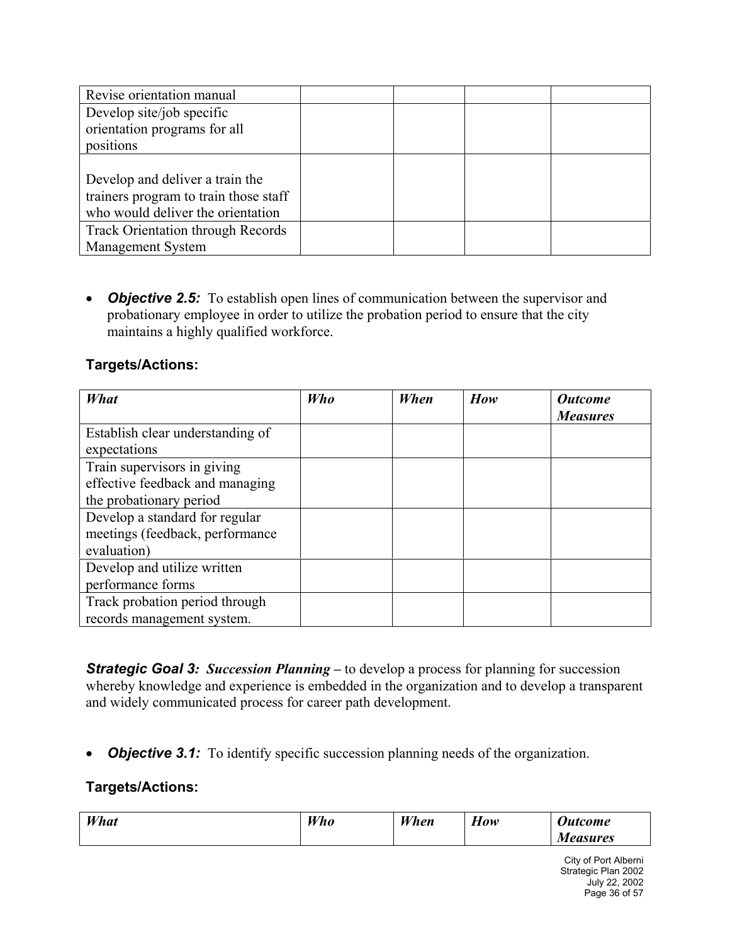| Revise orientation manual                |  |  |
|------------------------------------------|--|--|
| Develop site/job specific                |  |  |
| orientation programs for all             |  |  |
| positions                                |  |  |
|                                          |  |  |
| Develop and deliver a train the          |  |  |
| trainers program to train those staff    |  |  |
| who would deliver the orientation        |  |  |
| <b>Track Orientation through Records</b> |  |  |
| <b>Management System</b>                 |  |  |

• *Objective 2.5:* To establish open lines of communication between the supervisor and probationary employee in order to utilize the probation period to ensure that the city maintains a highly qualified workforce.

#### **Targets/Actions:**

| What                             | Who | When | How | <b>Outcome</b><br><b>Measures</b> |
|----------------------------------|-----|------|-----|-----------------------------------|
| Establish clear understanding of |     |      |     |                                   |
| expectations                     |     |      |     |                                   |
| Train supervisors in giving      |     |      |     |                                   |
| effective feedback and managing  |     |      |     |                                   |
| the probationary period          |     |      |     |                                   |
| Develop a standard for regular   |     |      |     |                                   |
| meetings (feedback, performance  |     |      |     |                                   |
| evaluation)                      |     |      |     |                                   |
| Develop and utilize written      |     |      |     |                                   |
| performance forms                |     |      |     |                                   |
| Track probation period through   |     |      |     |                                   |
| records management system.       |     |      |     |                                   |

*Strategic Goal 3: Succession Planning –* to develop a process for planning for succession whereby knowledge and experience is embedded in the organization and to develop a transparent and widely communicated process for career path development.

• *Objective 3.1:* To identify specific succession planning needs of the organization.

| What | Who | When | $\mathbf{r}$<br><b>How</b> | <b>Outcome</b>  |
|------|-----|------|----------------------------|-----------------|
|      |     |      |                            | <b>Measures</b> |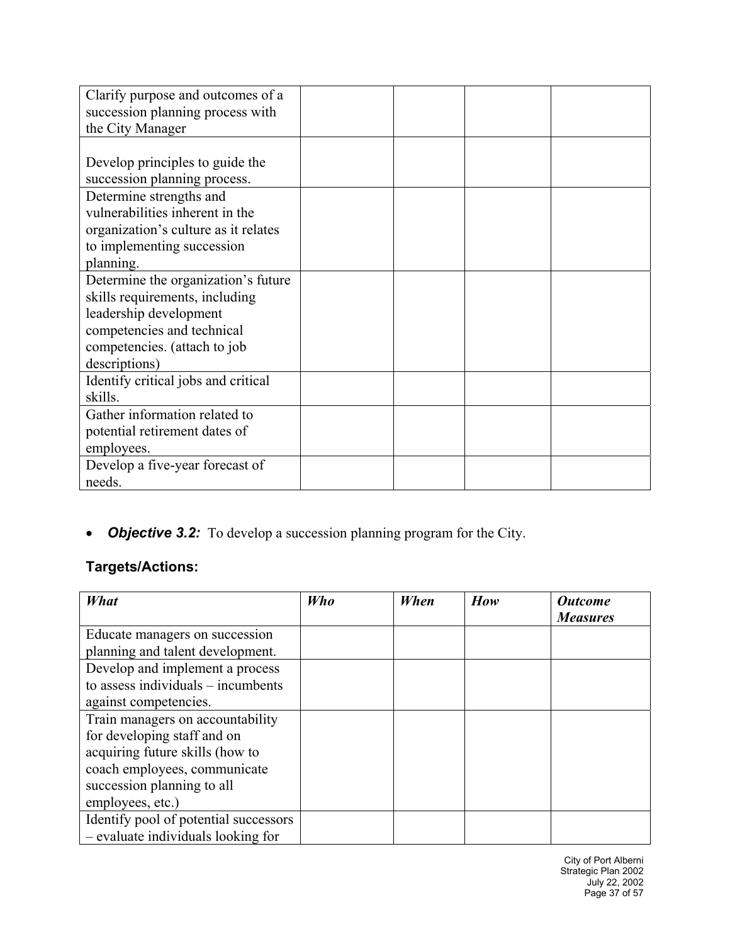| Clarify purpose and outcomes of a    |  |  |
|--------------------------------------|--|--|
| succession planning process with     |  |  |
| the City Manager                     |  |  |
|                                      |  |  |
| Develop principles to guide the      |  |  |
| succession planning process.         |  |  |
| Determine strengths and              |  |  |
| vulnerabilities inherent in the      |  |  |
| organization's culture as it relates |  |  |
| to implementing succession           |  |  |
| planning.                            |  |  |
| Determine the organization's future  |  |  |
| skills requirements, including       |  |  |
| leadership development               |  |  |
| competencies and technical           |  |  |
| competencies. (attach to job         |  |  |
| descriptions)                        |  |  |
| Identify critical jobs and critical  |  |  |
| skills.                              |  |  |
| Gather information related to        |  |  |
| potential retirement dates of        |  |  |
| employees.                           |  |  |
| Develop a five-year forecast of      |  |  |
| needs.                               |  |  |

## • *Objective 3.2:* To develop a succession planning program for the City.

## **Targets/Actions:**

| What                                  | Who | When | How | <b>Outcome</b><br><b>Measures</b> |
|---------------------------------------|-----|------|-----|-----------------------------------|
| Educate managers on succession        |     |      |     |                                   |
| planning and talent development.      |     |      |     |                                   |
| Develop and implement a process       |     |      |     |                                   |
| to assess individuals $-$ incumbents  |     |      |     |                                   |
| against competencies.                 |     |      |     |                                   |
| Train managers on accountability      |     |      |     |                                   |
| for developing staff and on           |     |      |     |                                   |
| acquiring future skills (how to       |     |      |     |                                   |
| coach employees, communicate          |     |      |     |                                   |
| succession planning to all            |     |      |     |                                   |
| employees, etc.)                      |     |      |     |                                   |
| Identify pool of potential successors |     |      |     |                                   |
| - evaluate individuals looking for    |     |      |     |                                   |

City of Port Alberni Strategic Plan 2002 July 22, 2002 Page 37 of 57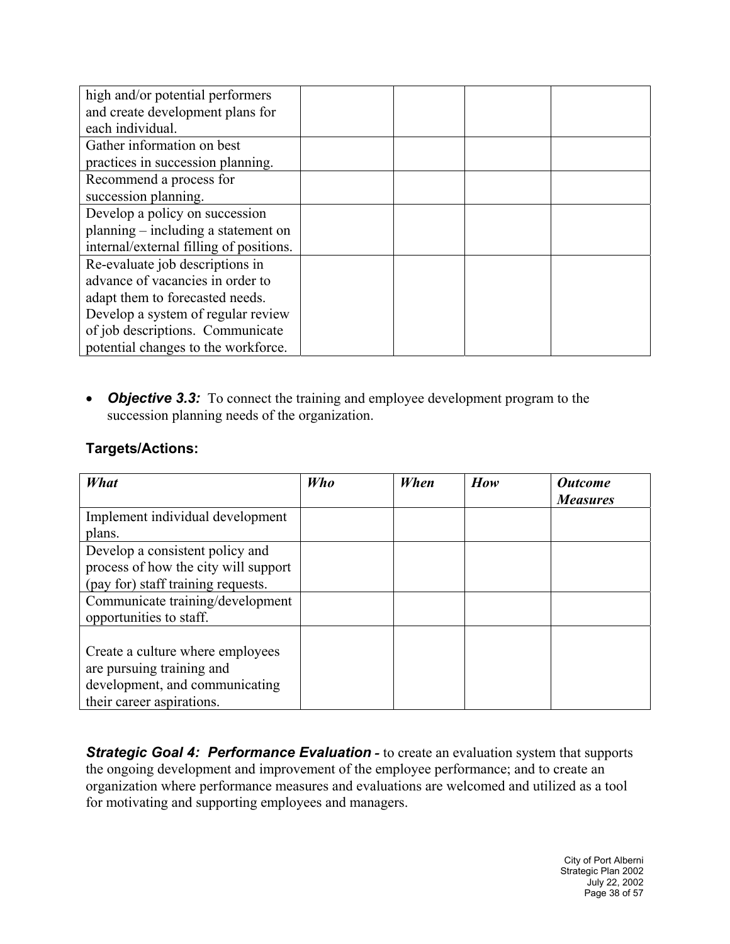| high and/or potential performers        |  |  |
|-----------------------------------------|--|--|
| and create development plans for        |  |  |
| each individual.                        |  |  |
| Gather information on best              |  |  |
| practices in succession planning.       |  |  |
| Recommend a process for                 |  |  |
| succession planning.                    |  |  |
| Develop a policy on succession          |  |  |
| planning – including a statement on     |  |  |
| internal/external filling of positions. |  |  |
| Re-evaluate job descriptions in         |  |  |
| advance of vacancies in order to        |  |  |
| adapt them to forecasted needs.         |  |  |
| Develop a system of regular review      |  |  |
| of job descriptions. Communicate        |  |  |
| potential changes to the workforce.     |  |  |

• *Objective 3.3:* To connect the training and employee development program to the succession planning needs of the organization.

#### **Targets/Actions:**

| What                                 | Who | When | How | <b>Outcome</b><br><b>Measures</b> |
|--------------------------------------|-----|------|-----|-----------------------------------|
| Implement individual development     |     |      |     |                                   |
| plans.                               |     |      |     |                                   |
| Develop a consistent policy and      |     |      |     |                                   |
| process of how the city will support |     |      |     |                                   |
| (pay for) staff training requests.   |     |      |     |                                   |
| Communicate training/development     |     |      |     |                                   |
| opportunities to staff.              |     |      |     |                                   |
|                                      |     |      |     |                                   |
| Create a culture where employees     |     |      |     |                                   |
| are pursuing training and            |     |      |     |                                   |
| development, and communicating       |     |      |     |                                   |
| their career aspirations.            |     |      |     |                                   |

**Strategic Goal 4: Performance Evaluation** - to create an evaluation system that supports the ongoing development and improvement of the employee performance; and to create an organization where performance measures and evaluations are welcomed and utilized as a tool for motivating and supporting employees and managers.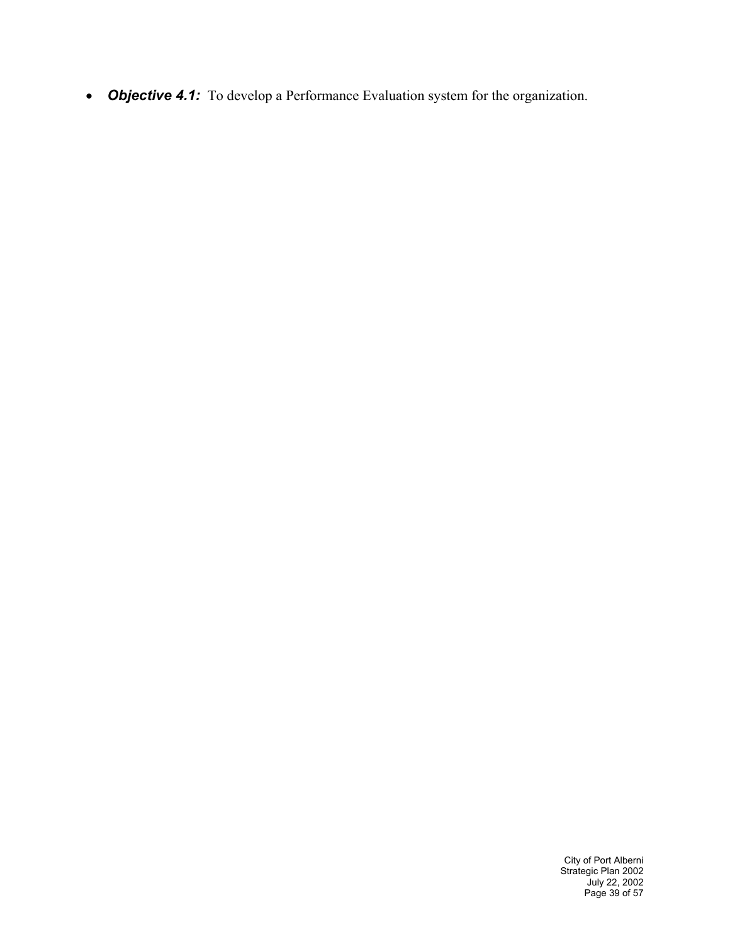• *Objective 4.1:* To develop a Performance Evaluation system for the organization.

City of Port Alberni Strategic Plan 2002 July 22, 2002 Page 39 of 57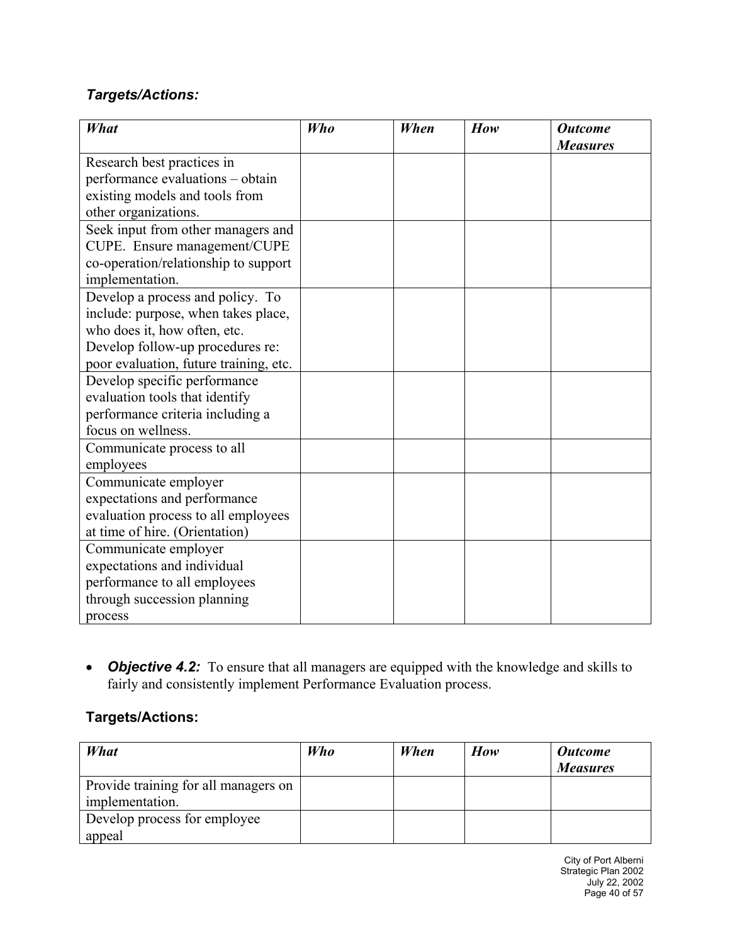#### *Targets/Actions:*

| <b>What</b>                            | <b>Who</b> | When | How | <b>Outcome</b>  |
|----------------------------------------|------------|------|-----|-----------------|
|                                        |            |      |     | <b>Measures</b> |
| Research best practices in             |            |      |     |                 |
| performance evaluations - obtain       |            |      |     |                 |
| existing models and tools from         |            |      |     |                 |
| other organizations.                   |            |      |     |                 |
| Seek input from other managers and     |            |      |     |                 |
| CUPE. Ensure management/CUPE           |            |      |     |                 |
| co-operation/relationship to support   |            |      |     |                 |
| implementation.                        |            |      |     |                 |
| Develop a process and policy. To       |            |      |     |                 |
| include: purpose, when takes place,    |            |      |     |                 |
| who does it, how often, etc.           |            |      |     |                 |
| Develop follow-up procedures re:       |            |      |     |                 |
| poor evaluation, future training, etc. |            |      |     |                 |
| Develop specific performance           |            |      |     |                 |
| evaluation tools that identify         |            |      |     |                 |
| performance criteria including a       |            |      |     |                 |
| focus on wellness.                     |            |      |     |                 |
| Communicate process to all             |            |      |     |                 |
| employees                              |            |      |     |                 |
| Communicate employer                   |            |      |     |                 |
| expectations and performance           |            |      |     |                 |
| evaluation process to all employees    |            |      |     |                 |
| at time of hire. (Orientation)         |            |      |     |                 |
| Communicate employer                   |            |      |     |                 |
| expectations and individual            |            |      |     |                 |
| performance to all employees           |            |      |     |                 |
| through succession planning            |            |      |     |                 |
| process                                |            |      |     |                 |

• **Objective 4.2:** To ensure that all managers are equipped with the knowledge and skills to fairly and consistently implement Performance Evaluation process.

| What                                 | Who | When | How | <b>Outcome</b>  |
|--------------------------------------|-----|------|-----|-----------------|
|                                      |     |      |     | <b>Measures</b> |
| Provide training for all managers on |     |      |     |                 |
| implementation.                      |     |      |     |                 |
| Develop process for employee         |     |      |     |                 |
| appeal                               |     |      |     |                 |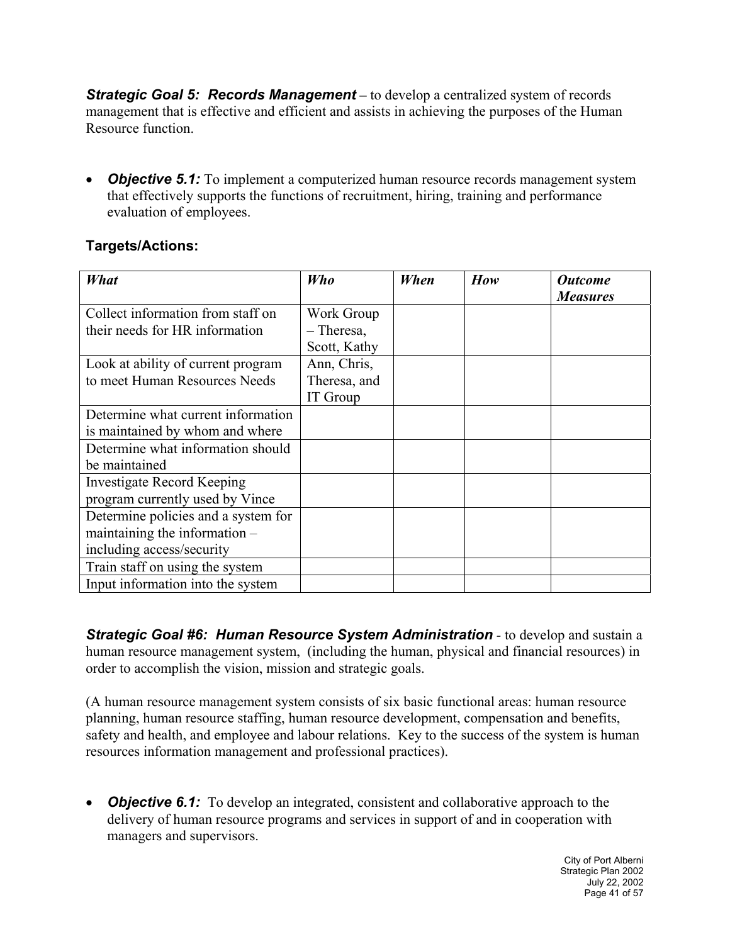*Strategic Goal 5: Records Management –* to develop a centralized system of records management that is effective and efficient and assists in achieving the purposes of the Human Resource function.

• *Objective 5.1:* To implement a computerized human resource records management system that effectively supports the functions of recruitment, hiring, training and performance evaluation of employees.

#### **Targets/Actions:**

| <b>What</b>                                                                                         | Who                                        | When | How | <b>Outcome</b><br><b>Measures</b> |
|-----------------------------------------------------------------------------------------------------|--------------------------------------------|------|-----|-----------------------------------|
| Collect information from staff on<br>their needs for HR information                                 | Work Group<br>$-$ Theresa,<br>Scott, Kathy |      |     |                                   |
| Look at ability of current program<br>to meet Human Resources Needs                                 | Ann, Chris,<br>Theresa, and<br>IT Group    |      |     |                                   |
| Determine what current information<br>is maintained by whom and where                               |                                            |      |     |                                   |
| Determine what information should<br>be maintained                                                  |                                            |      |     |                                   |
| <b>Investigate Record Keeping</b><br>program currently used by Vince                                |                                            |      |     |                                   |
| Determine policies and a system for<br>maintaining the information $-$<br>including access/security |                                            |      |     |                                   |
| Train staff on using the system<br>Input information into the system                                |                                            |      |     |                                   |

*Strategic Goal #6: Human Resource System Administration - to develop and sustain a* human resource management system, (including the human, physical and financial resources) in order to accomplish the vision, mission and strategic goals.

(A human resource management system consists of six basic functional areas: human resource planning, human resource staffing, human resource development, compensation and benefits, safety and health, and employee and labour relations. Key to the success of the system is human resources information management and professional practices).

• *Objective 6.1:* To develop an integrated, consistent and collaborative approach to the delivery of human resource programs and services in support of and in cooperation with managers and supervisors.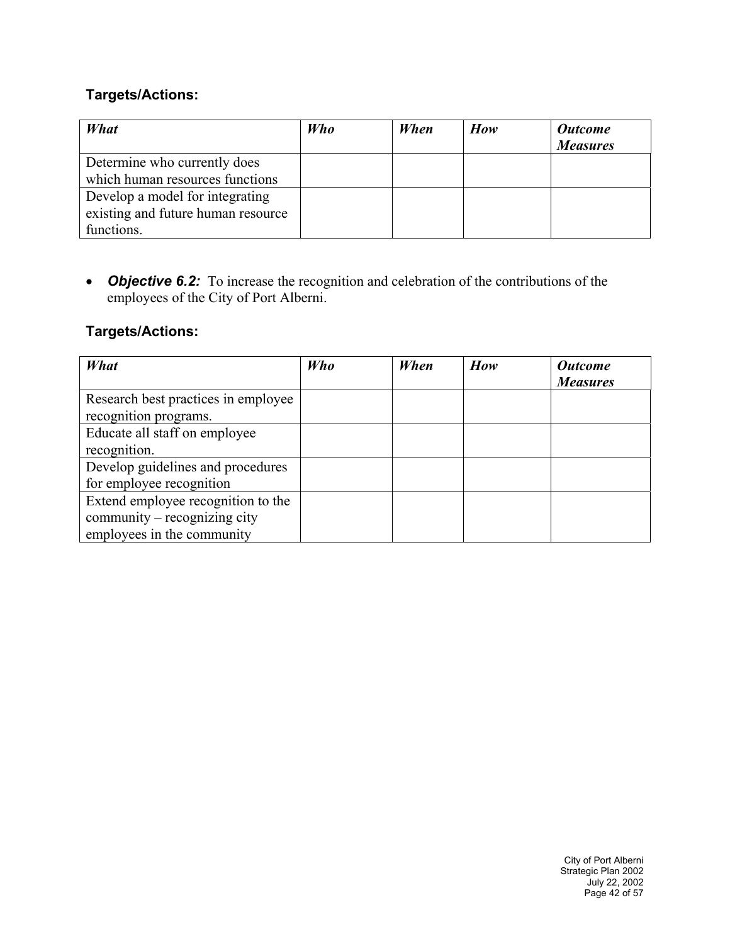#### **Targets/Actions:**

| What                               | <b>Who</b> | When | How | <b>Outcome</b><br><b>Measures</b> |
|------------------------------------|------------|------|-----|-----------------------------------|
| Determine who currently does       |            |      |     |                                   |
| which human resources functions    |            |      |     |                                   |
| Develop a model for integrating    |            |      |     |                                   |
| existing and future human resource |            |      |     |                                   |
| functions.                         |            |      |     |                                   |

• *Objective 6.2:* To increase the recognition and celebration of the contributions of the employees of the City of Port Alberni.

| What                                | Who | When | How | <b>Outcome</b><br><b>Measures</b> |
|-------------------------------------|-----|------|-----|-----------------------------------|
| Research best practices in employee |     |      |     |                                   |
| recognition programs.               |     |      |     |                                   |
| Educate all staff on employee       |     |      |     |                                   |
| recognition.                        |     |      |     |                                   |
| Develop guidelines and procedures   |     |      |     |                                   |
| for employee recognition            |     |      |     |                                   |
| Extend employee recognition to the  |     |      |     |                                   |
| community – recognizing city        |     |      |     |                                   |
| employees in the community          |     |      |     |                                   |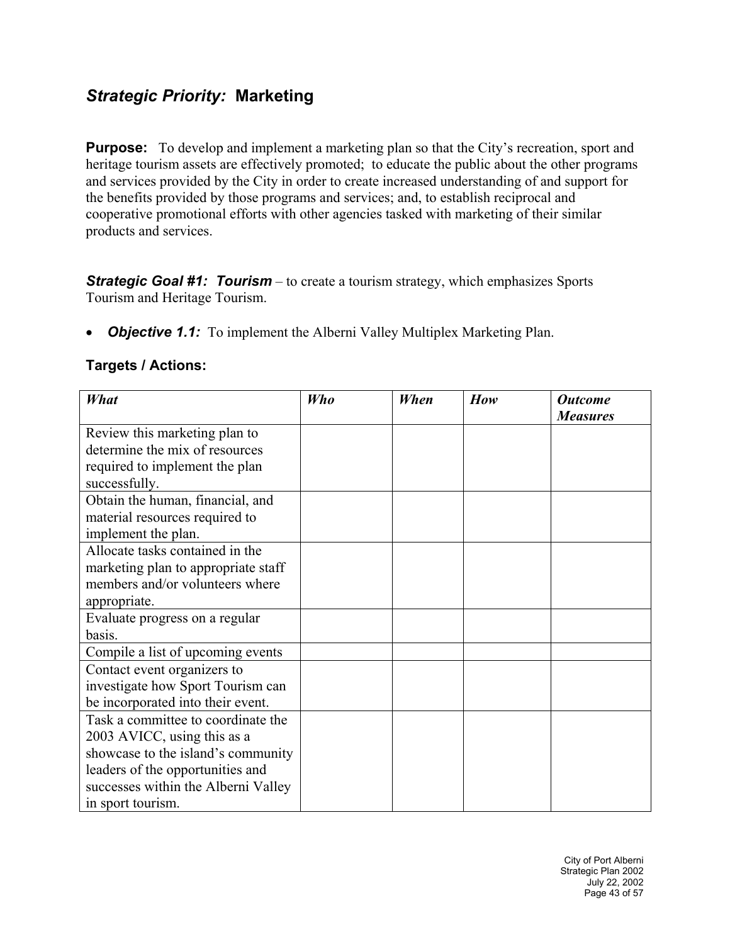## *Strategic Priority:* **Marketing**

**Purpose:** To develop and implement a marketing plan so that the City's recreation, sport and heritage tourism assets are effectively promoted; to educate the public about the other programs and services provided by the City in order to create increased understanding of and support for the benefits provided by those programs and services; and, to establish reciprocal and cooperative promotional efforts with other agencies tasked with marketing of their similar products and services.

*Strategic Goal #1: Tourism* – to create a tourism strategy, which emphasizes Sports Tourism and Heritage Tourism.

• *Objective 1.1:* To implement the Alberni Valley Multiplex Marketing Plan.

| What                                | Who | When | How | <b>Outcome</b><br><b>Measures</b> |
|-------------------------------------|-----|------|-----|-----------------------------------|
| Review this marketing plan to       |     |      |     |                                   |
| determine the mix of resources      |     |      |     |                                   |
| required to implement the plan      |     |      |     |                                   |
| successfully.                       |     |      |     |                                   |
| Obtain the human, financial, and    |     |      |     |                                   |
| material resources required to      |     |      |     |                                   |
| implement the plan.                 |     |      |     |                                   |
| Allocate tasks contained in the     |     |      |     |                                   |
| marketing plan to appropriate staff |     |      |     |                                   |
| members and/or volunteers where     |     |      |     |                                   |
| appropriate.                        |     |      |     |                                   |
| Evaluate progress on a regular      |     |      |     |                                   |
| basis.                              |     |      |     |                                   |
| Compile a list of upcoming events   |     |      |     |                                   |
| Contact event organizers to         |     |      |     |                                   |
| investigate how Sport Tourism can   |     |      |     |                                   |
| be incorporated into their event.   |     |      |     |                                   |
| Task a committee to coordinate the  |     |      |     |                                   |
| 2003 AVICC, using this as a         |     |      |     |                                   |
| showcase to the island's community  |     |      |     |                                   |
| leaders of the opportunities and    |     |      |     |                                   |
| successes within the Alberni Valley |     |      |     |                                   |
| in sport tourism.                   |     |      |     |                                   |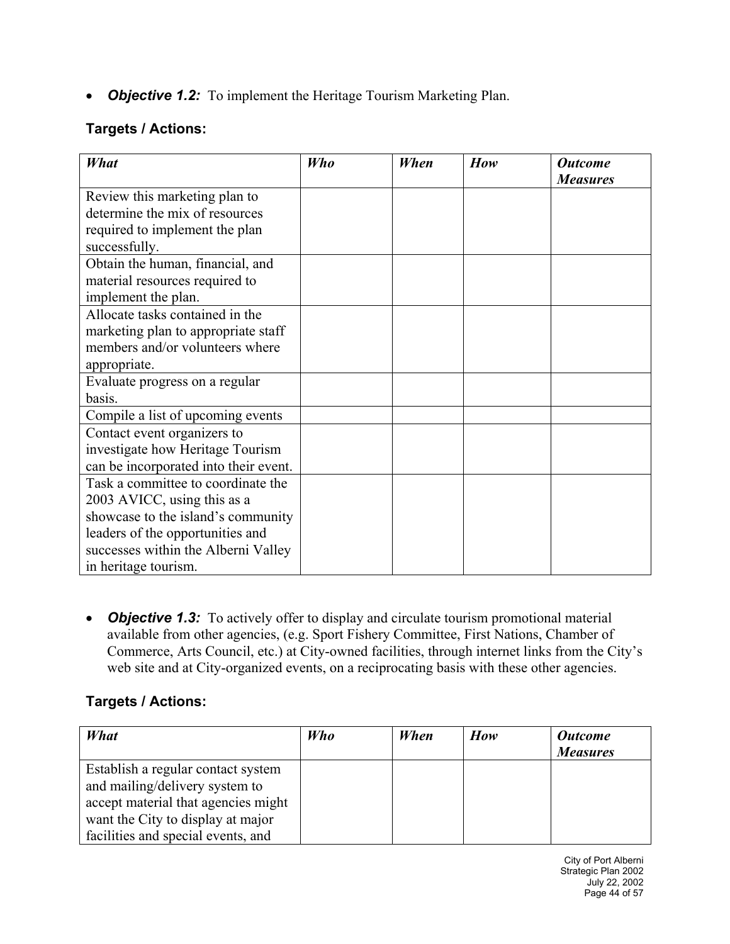• **Objective 1.2:** To implement the Heritage Tourism Marketing Plan.

#### **Targets / Actions:**

| What                                  | <b>Who</b> | When | How | <b>Outcome</b><br><b>Measures</b> |
|---------------------------------------|------------|------|-----|-----------------------------------|
| Review this marketing plan to         |            |      |     |                                   |
| determine the mix of resources        |            |      |     |                                   |
| required to implement the plan        |            |      |     |                                   |
| successfully.                         |            |      |     |                                   |
| Obtain the human, financial, and      |            |      |     |                                   |
| material resources required to        |            |      |     |                                   |
| implement the plan.                   |            |      |     |                                   |
| Allocate tasks contained in the       |            |      |     |                                   |
| marketing plan to appropriate staff   |            |      |     |                                   |
| members and/or volunteers where       |            |      |     |                                   |
| appropriate.                          |            |      |     |                                   |
| Evaluate progress on a regular        |            |      |     |                                   |
| basis.                                |            |      |     |                                   |
| Compile a list of upcoming events     |            |      |     |                                   |
| Contact event organizers to           |            |      |     |                                   |
| investigate how Heritage Tourism      |            |      |     |                                   |
| can be incorporated into their event. |            |      |     |                                   |
| Task a committee to coordinate the    |            |      |     |                                   |
| 2003 AVICC, using this as a           |            |      |     |                                   |
| showcase to the island's community    |            |      |     |                                   |
| leaders of the opportunities and      |            |      |     |                                   |
| successes within the Alberni Valley   |            |      |     |                                   |
| in heritage tourism.                  |            |      |     |                                   |

• *Objective 1.3:* To actively offer to display and circulate tourism promotional material available from other agencies, (e.g. Sport Fishery Committee, First Nations, Chamber of Commerce, Arts Council, etc.) at City-owned facilities, through internet links from the City's web site and at City-organized events, on a reciprocating basis with these other agencies.

| What                                | <b>Who</b> | When | How | <b>Outcome</b><br><b>Measures</b> |
|-------------------------------------|------------|------|-----|-----------------------------------|
| Establish a regular contact system  |            |      |     |                                   |
| and mailing/delivery system to      |            |      |     |                                   |
| accept material that agencies might |            |      |     |                                   |
| want the City to display at major   |            |      |     |                                   |
| facilities and special events, and  |            |      |     |                                   |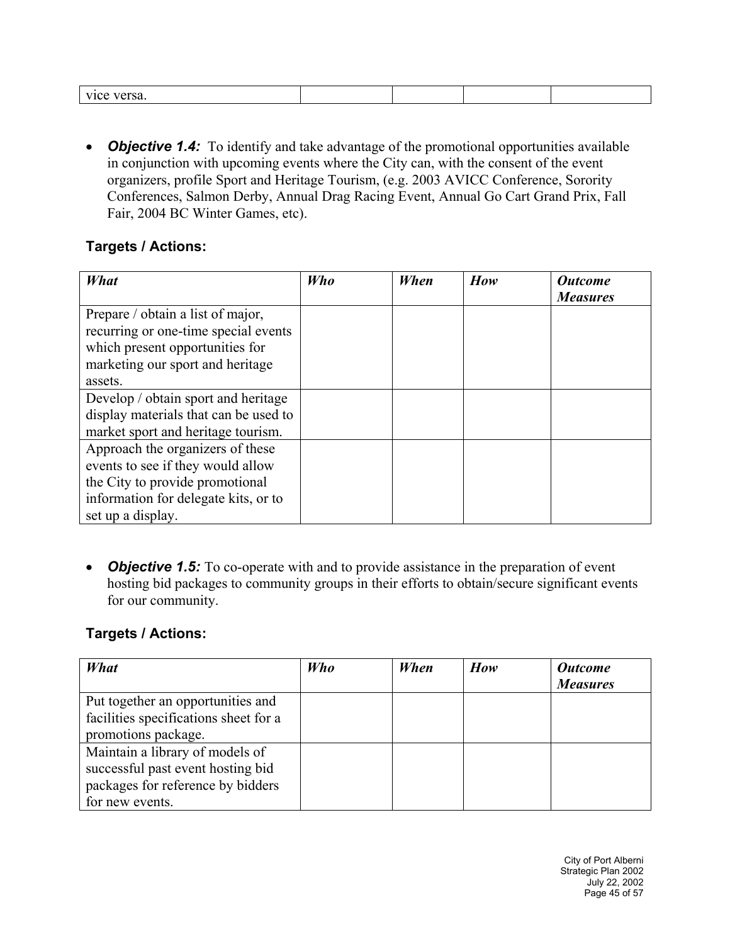| - -- - -<br>- --<br>VK<br>ж. |  |  |
|------------------------------|--|--|
|                              |  |  |

• *Objective 1.4:* To identify and take advantage of the promotional opportunities available in conjunction with upcoming events where the City can, with the consent of the event organizers, profile Sport and Heritage Tourism, (e.g. 2003 AVICC Conference, Sorority Conferences, Salmon Derby, Annual Drag Racing Event, Annual Go Cart Grand Prix, Fall Fair, 2004 BC Winter Games, etc).

#### **Targets / Actions:**

| What                                  | <b>Who</b> | When | How | <b>Outcome</b><br><b>Measures</b> |
|---------------------------------------|------------|------|-----|-----------------------------------|
| Prepare / obtain a list of major,     |            |      |     |                                   |
| recurring or one-time special events  |            |      |     |                                   |
| which present opportunities for       |            |      |     |                                   |
| marketing our sport and heritage      |            |      |     |                                   |
| assets.                               |            |      |     |                                   |
| Develop / obtain sport and heritage   |            |      |     |                                   |
| display materials that can be used to |            |      |     |                                   |
| market sport and heritage tourism.    |            |      |     |                                   |
| Approach the organizers of these      |            |      |     |                                   |
| events to see if they would allow     |            |      |     |                                   |
| the City to provide promotional       |            |      |     |                                   |
| information for delegate kits, or to  |            |      |     |                                   |
| set up a display.                     |            |      |     |                                   |

• *Objective 1.5:* To co-operate with and to provide assistance in the preparation of event hosting bid packages to community groups in their efforts to obtain/secure significant events for our community.

| What                                  | <b>Who</b> | When | How | <b>Outcome</b>  |
|---------------------------------------|------------|------|-----|-----------------|
|                                       |            |      |     | <b>Measures</b> |
| Put together an opportunities and     |            |      |     |                 |
| facilities specifications sheet for a |            |      |     |                 |
| promotions package.                   |            |      |     |                 |
| Maintain a library of models of       |            |      |     |                 |
| successful past event hosting bid     |            |      |     |                 |
| packages for reference by bidders     |            |      |     |                 |
| for new events.                       |            |      |     |                 |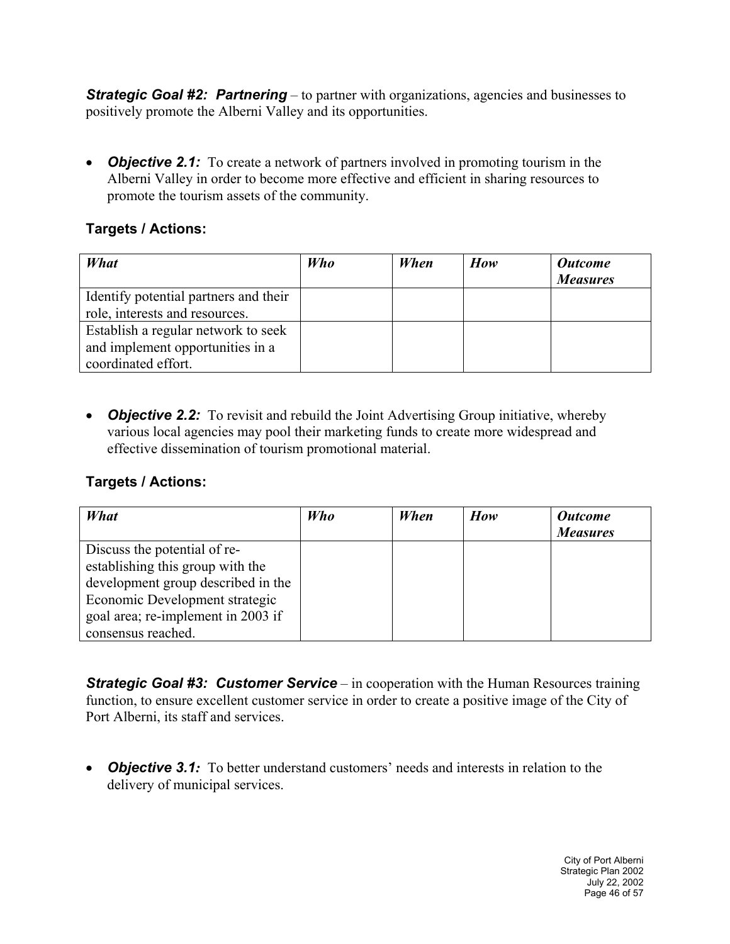*Strategic Goal #2: Partnering* – to partner with organizations, agencies and businesses to positively promote the Alberni Valley and its opportunities.

• *Objective 2.1:* To create a network of partners involved in promoting tourism in the Alberni Valley in order to become more effective and efficient in sharing resources to promote the tourism assets of the community.

#### **Targets / Actions:**

| What                                  | <b>Who</b> | When | How | <b>Outcome</b><br><b>Measures</b> |
|---------------------------------------|------------|------|-----|-----------------------------------|
| Identify potential partners and their |            |      |     |                                   |
| role, interests and resources.        |            |      |     |                                   |
| Establish a regular network to seek   |            |      |     |                                   |
| and implement opportunities in a      |            |      |     |                                   |
| coordinated effort.                   |            |      |     |                                   |

• *Objective 2.2:* To revisit and rebuild the Joint Advertising Group initiative, whereby various local agencies may pool their marketing funds to create more widespread and effective dissemination of tourism promotional material.

#### **Targets / Actions:**

| What                               | Who | When | How | <b>Outcome</b><br><b>Measures</b> |
|------------------------------------|-----|------|-----|-----------------------------------|
| Discuss the potential of re-       |     |      |     |                                   |
| establishing this group with the   |     |      |     |                                   |
| development group described in the |     |      |     |                                   |
| Economic Development strategic     |     |      |     |                                   |
| goal area; re-implement in 2003 if |     |      |     |                                   |
| consensus reached.                 |     |      |     |                                   |

**Strategic Goal #3: Customer Service** – in cooperation with the Human Resources training function, to ensure excellent customer service in order to create a positive image of the City of Port Alberni, its staff and services.

• *Objective 3.1:* To better understand customers' needs and interests in relation to the delivery of municipal services.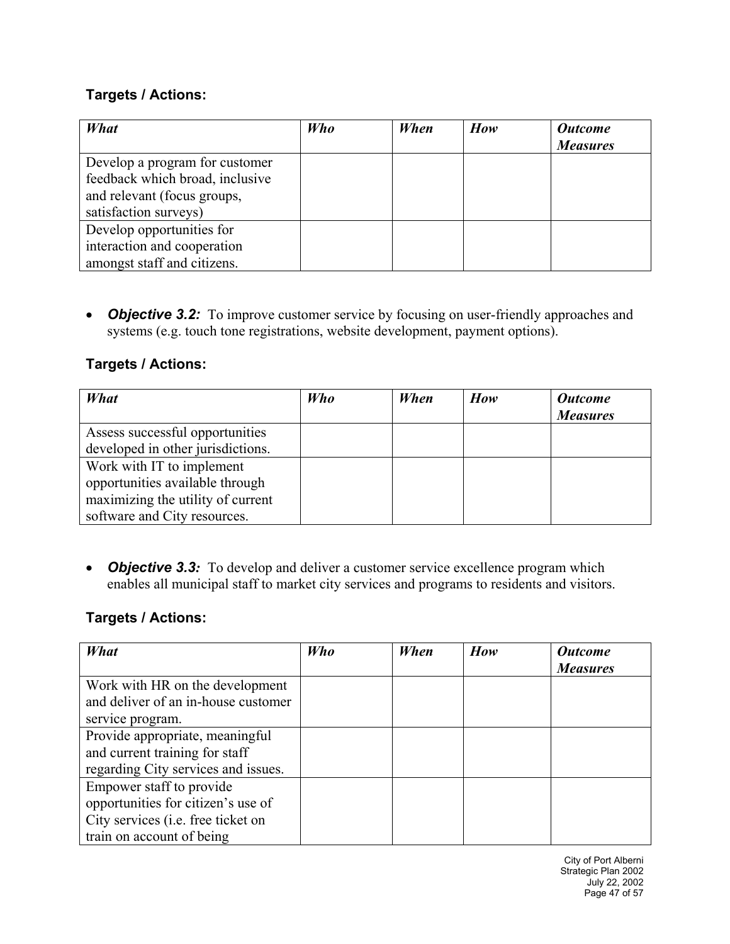#### **Targets / Actions:**

| What                                                                                                                      | Who | When | How | <b>Outcome</b><br><b>Measures</b> |
|---------------------------------------------------------------------------------------------------------------------------|-----|------|-----|-----------------------------------|
| Develop a program for customer<br>feedback which broad, inclusive<br>and relevant (focus groups,<br>satisfaction surveys) |     |      |     |                                   |
| Develop opportunities for<br>interaction and cooperation<br>amongst staff and citizens.                                   |     |      |     |                                   |

• *Objective 3.2:* To improve customer service by focusing on user-friendly approaches and systems (e.g. touch tone registrations, website development, payment options).

#### **Targets / Actions:**

| What                              | <b>Who</b> | When | How | <b>Outcome</b><br><b>Measures</b> |
|-----------------------------------|------------|------|-----|-----------------------------------|
| Assess successful opportunities   |            |      |     |                                   |
| developed in other jurisdictions. |            |      |     |                                   |
| Work with IT to implement         |            |      |     |                                   |
| opportunities available through   |            |      |     |                                   |
| maximizing the utility of current |            |      |     |                                   |
| software and City resources.      |            |      |     |                                   |

• *Objective 3.3:* To develop and deliver a customer service excellence program which enables all municipal staff to market city services and programs to residents and visitors.

#### **Targets / Actions:**

| What                                | Who | When | How | <b>Outcome</b>  |
|-------------------------------------|-----|------|-----|-----------------|
|                                     |     |      |     | <b>Measures</b> |
| Work with HR on the development     |     |      |     |                 |
| and deliver of an in-house customer |     |      |     |                 |
| service program.                    |     |      |     |                 |
| Provide appropriate, meaningful     |     |      |     |                 |
| and current training for staff      |     |      |     |                 |
| regarding City services and issues. |     |      |     |                 |
| Empower staff to provide            |     |      |     |                 |
| opportunities for citizen's use of  |     |      |     |                 |
| City services (i.e. free ticket on  |     |      |     |                 |
| train on account of being           |     |      |     |                 |

City of Port Alberni Strategic Plan 2002 July 22, 2002 Page 47 of 57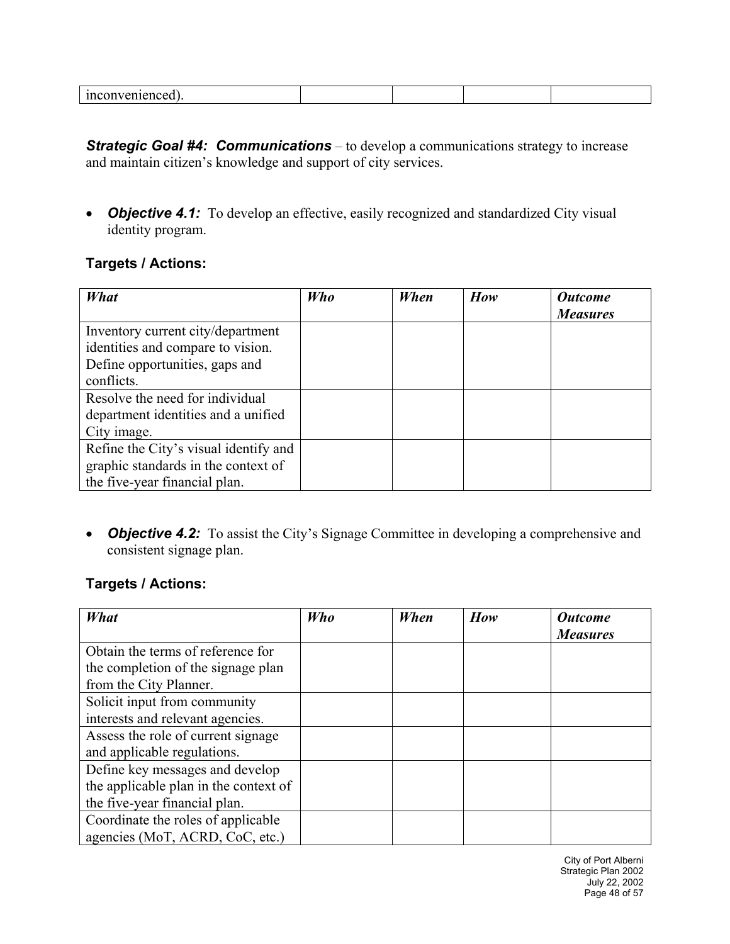| ШÇU<br>''IIVEIIIEIICEG |  |  |
|------------------------|--|--|
|                        |  |  |

*Strategic Goal #4: Communications* – to develop a communications strategy to increase and maintain citizen's knowledge and support of city services.

• **Objective 4.1:** To develop an effective, easily recognized and standardized City visual identity program.

#### **Targets / Actions:**

| What                                  | <b>Who</b> | When | How | <b>Outcome</b>  |
|---------------------------------------|------------|------|-----|-----------------|
|                                       |            |      |     | <b>Measures</b> |
| Inventory current city/department     |            |      |     |                 |
| identities and compare to vision.     |            |      |     |                 |
| Define opportunities, gaps and        |            |      |     |                 |
| conflicts.                            |            |      |     |                 |
| Resolve the need for individual       |            |      |     |                 |
| department identities and a unified   |            |      |     |                 |
| City image.                           |            |      |     |                 |
| Refine the City's visual identify and |            |      |     |                 |
| graphic standards in the context of   |            |      |     |                 |
| the five-year financial plan.         |            |      |     |                 |

• **Objective 4.2:** To assist the City's Signage Committee in developing a comprehensive and consistent signage plan.

#### **Targets / Actions:**

| What                                  | Who | When | How | <b>Outcome</b><br><b>Measures</b> |
|---------------------------------------|-----|------|-----|-----------------------------------|
|                                       |     |      |     |                                   |
| Obtain the terms of reference for     |     |      |     |                                   |
| the completion of the signage plan    |     |      |     |                                   |
| from the City Planner.                |     |      |     |                                   |
| Solicit input from community          |     |      |     |                                   |
| interests and relevant agencies.      |     |      |     |                                   |
| Assess the role of current signage    |     |      |     |                                   |
| and applicable regulations.           |     |      |     |                                   |
| Define key messages and develop       |     |      |     |                                   |
| the applicable plan in the context of |     |      |     |                                   |
| the five-year financial plan.         |     |      |     |                                   |
| Coordinate the roles of applicable    |     |      |     |                                   |
| agencies (MoT, ACRD, CoC, etc.)       |     |      |     |                                   |

City of Port Alberni Strategic Plan 2002 July 22, 2002 Page 48 of 57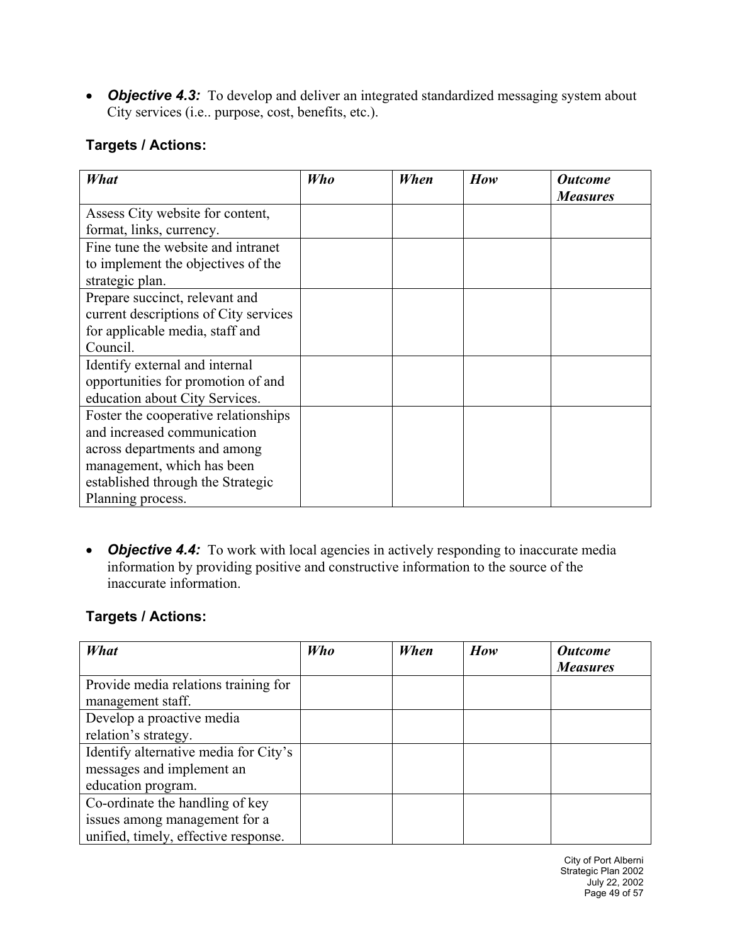• **Objective 4.3:** To develop and deliver an integrated standardized messaging system about City services (i.e.. purpose, cost, benefits, etc.).

#### **Targets / Actions:**

| What                                  | Who | When | How | <b>Outcome</b><br><b>Measures</b> |
|---------------------------------------|-----|------|-----|-----------------------------------|
| Assess City website for content,      |     |      |     |                                   |
| format, links, currency.              |     |      |     |                                   |
| Fine tune the website and intranet    |     |      |     |                                   |
| to implement the objectives of the    |     |      |     |                                   |
| strategic plan.                       |     |      |     |                                   |
| Prepare succinct, relevant and        |     |      |     |                                   |
| current descriptions of City services |     |      |     |                                   |
| for applicable media, staff and       |     |      |     |                                   |
| Council.                              |     |      |     |                                   |
|                                       |     |      |     |                                   |
| Identify external and internal        |     |      |     |                                   |
| opportunities for promotion of and    |     |      |     |                                   |
| education about City Services.        |     |      |     |                                   |
| Foster the cooperative relationships  |     |      |     |                                   |
| and increased communication           |     |      |     |                                   |
| across departments and among          |     |      |     |                                   |
| management, which has been            |     |      |     |                                   |
| established through the Strategic     |     |      |     |                                   |
| Planning process.                     |     |      |     |                                   |

• *Objective 4.4:* To work with local agencies in actively responding to inaccurate media information by providing positive and constructive information to the source of the inaccurate information.

#### **Targets / Actions:**

| What                                  | <b>Who</b> | When | How | <b>Outcome</b>  |
|---------------------------------------|------------|------|-----|-----------------|
|                                       |            |      |     | <b>Measures</b> |
| Provide media relations training for  |            |      |     |                 |
| management staff.                     |            |      |     |                 |
| Develop a proactive media             |            |      |     |                 |
| relation's strategy.                  |            |      |     |                 |
| Identify alternative media for City's |            |      |     |                 |
| messages and implement an             |            |      |     |                 |
| education program.                    |            |      |     |                 |
| Co-ordinate the handling of key       |            |      |     |                 |
| issues among management for a         |            |      |     |                 |
| unified, timely, effective response.  |            |      |     |                 |

City of Port Alberni Strategic Plan 2002 July 22, 2002 Page 49 of 57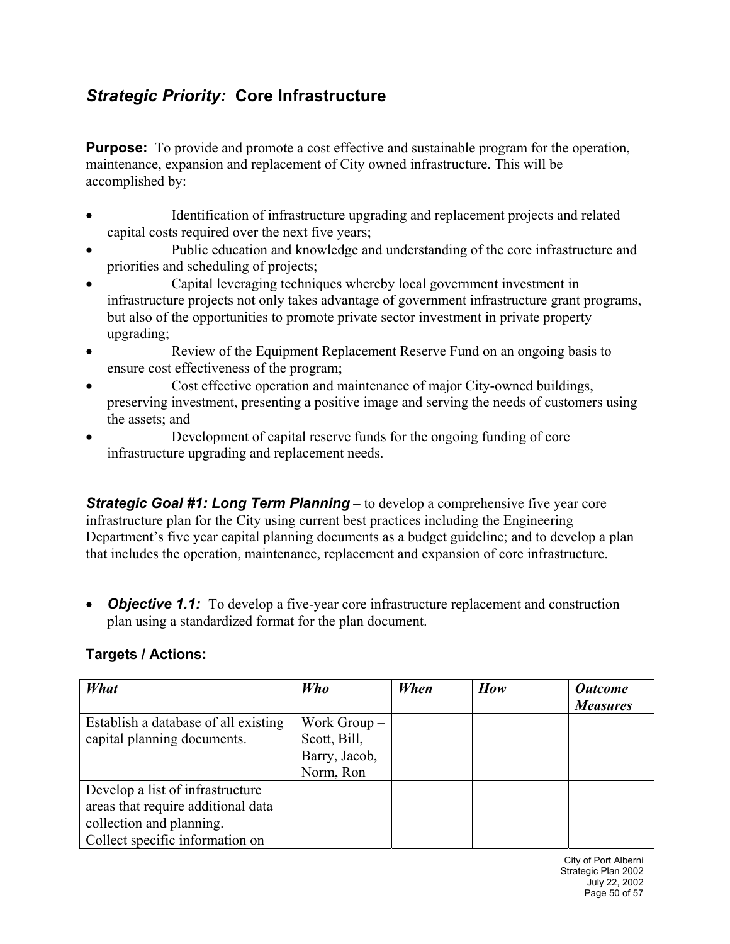## *Strategic Priority:* **Core Infrastructure**

**Purpose:** To provide and promote a cost effective and sustainable program for the operation, maintenance, expansion and replacement of City owned infrastructure. This will be accomplished by:

- Identification of infrastructure upgrading and replacement projects and related capital costs required over the next five years;
- Public education and knowledge and understanding of the core infrastructure and priorities and scheduling of projects;
- Capital leveraging techniques whereby local government investment in infrastructure projects not only takes advantage of government infrastructure grant programs, but also of the opportunities to promote private sector investment in private property upgrading;
- Review of the Equipment Replacement Reserve Fund on an ongoing basis to ensure cost effectiveness of the program;
- Cost effective operation and maintenance of major City-owned buildings, preserving investment, presenting a positive image and serving the needs of customers using the assets; and
- Development of capital reserve funds for the ongoing funding of core infrastructure upgrading and replacement needs.

*Strategic Goal #1: Long Term Planning* – to develop a comprehensive five year core infrastructure plan for the City using current best practices including the Engineering Department's five year capital planning documents as a budget guideline; and to develop a plan that includes the operation, maintenance, replacement and expansion of core infrastructure.

• *Objective 1.1:* To develop a five-year core infrastructure replacement and construction plan using a standardized format for the plan document.

#### **Targets / Actions:**

| What                                 | <b>Who</b>    | When | How | <b>Outcome</b>  |
|--------------------------------------|---------------|------|-----|-----------------|
|                                      |               |      |     | <b>Measures</b> |
| Establish a database of all existing | Work $Group-$ |      |     |                 |
| capital planning documents.          | Scott, Bill,  |      |     |                 |
|                                      | Barry, Jacob, |      |     |                 |
|                                      | Norm, Ron     |      |     |                 |
| Develop a list of infrastructure     |               |      |     |                 |
| areas that require additional data   |               |      |     |                 |
| collection and planning.             |               |      |     |                 |
| Collect specific information on      |               |      |     |                 |

City of Port Alberni Strategic Plan 2002 July 22, 2002 Page 50 of 57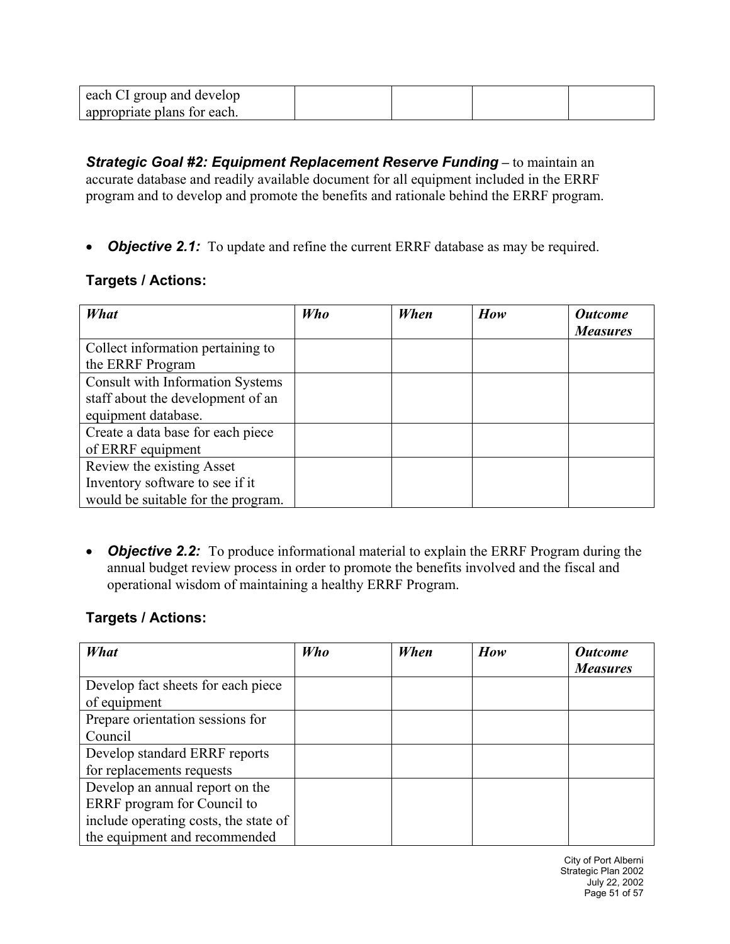| each CI group and develop   |  |  |
|-----------------------------|--|--|
| appropriate plans for each. |  |  |

**Strategic Goal #2: Equipment Replacement Reserve Funding - to maintain an** accurate database and readily available document for all equipment included in the ERRF program and to develop and promote the benefits and rationale behind the ERRF program.

• *Objective 2.1:* To update and refine the current ERRF database as may be required.

#### **Targets / Actions:**

| What                                                                                                | Who | When | How | <b>Outcome</b><br><b>Measures</b> |
|-----------------------------------------------------------------------------------------------------|-----|------|-----|-----------------------------------|
| Collect information pertaining to<br>the ERRF Program                                               |     |      |     |                                   |
| <b>Consult with Information Systems</b><br>staff about the development of an<br>equipment database. |     |      |     |                                   |
| Create a data base for each piece<br>of ERRF equipment                                              |     |      |     |                                   |
| Review the existing Asset<br>Inventory software to see if it<br>would be suitable for the program.  |     |      |     |                                   |

• *Objective 2.2:* To produce informational material to explain the ERRF Program during the annual budget review process in order to promote the benefits involved and the fiscal and operational wisdom of maintaining a healthy ERRF Program.

#### **Targets / Actions:**

| What                                  | Who | When | How | <b>Outcome</b>  |
|---------------------------------------|-----|------|-----|-----------------|
|                                       |     |      |     | <b>Measures</b> |
| Develop fact sheets for each piece    |     |      |     |                 |
| of equipment                          |     |      |     |                 |
| Prepare orientation sessions for      |     |      |     |                 |
| Council                               |     |      |     |                 |
| Develop standard ERRF reports         |     |      |     |                 |
| for replacements requests             |     |      |     |                 |
| Develop an annual report on the       |     |      |     |                 |
| ERRF program for Council to           |     |      |     |                 |
| include operating costs, the state of |     |      |     |                 |
| the equipment and recommended         |     |      |     |                 |

City of Port Alberni Strategic Plan 2002 July 22, 2002 Page 51 of 57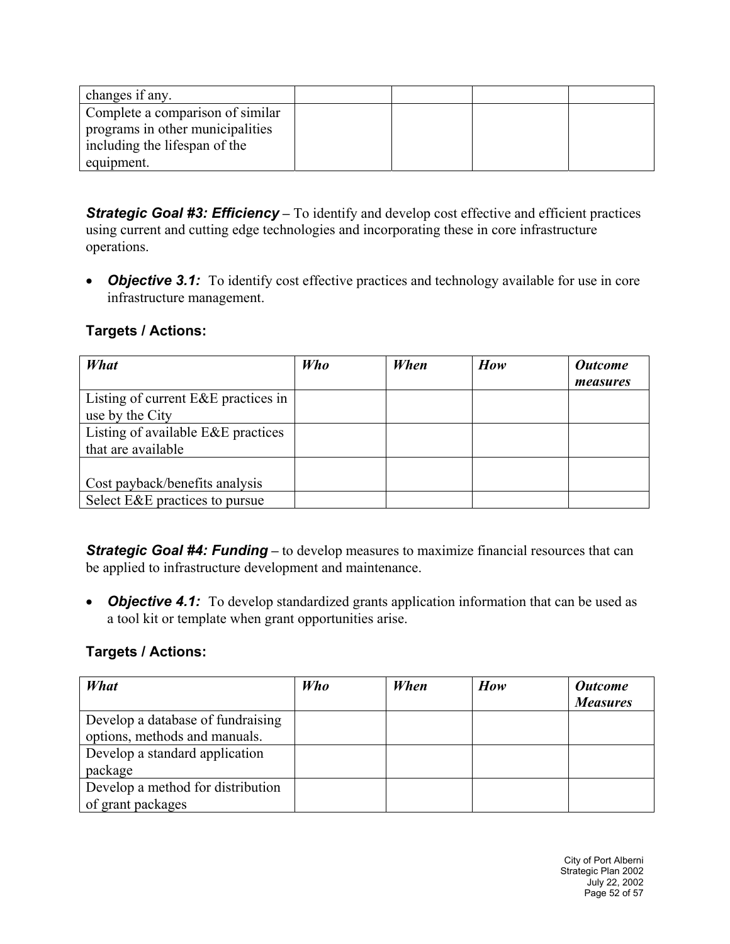| changes if any.                  |  |  |
|----------------------------------|--|--|
| Complete a comparison of similar |  |  |
| programs in other municipalities |  |  |
| including the lifespan of the    |  |  |
| equipment.                       |  |  |

**Strategic Goal #3: Efficiency** – To identify and develop cost effective and efficient practices using current and cutting edge technologies and incorporating these in core infrastructure operations.

• **Objective 3.1:** To identify cost effective practices and technology available for use in core infrastructure management.

#### **Targets / Actions:**

| What                                    | Who | When | How | <b>Outcome</b><br>measures |
|-----------------------------------------|-----|------|-----|----------------------------|
| Listing of current E&E practices in     |     |      |     |                            |
| use by the City                         |     |      |     |                            |
| Listing of available $E \& E$ practices |     |      |     |                            |
| that are available                      |     |      |     |                            |
|                                         |     |      |     |                            |
| Cost payback/benefits analysis          |     |      |     |                            |
| Select E&E practices to pursue          |     |      |     |                            |

**Strategic Goal #4: Funding** – to develop measures to maximize financial resources that can be applied to infrastructure development and maintenance.

• *Objective 4.1:* To develop standardized grants application information that can be used as a tool kit or template when grant opportunities arise.

| What                              | Who | When | How | <b>Outcome</b><br><b>Measures</b> |
|-----------------------------------|-----|------|-----|-----------------------------------|
| Develop a database of fundraising |     |      |     |                                   |
| options, methods and manuals.     |     |      |     |                                   |
| Develop a standard application    |     |      |     |                                   |
| package                           |     |      |     |                                   |
| Develop a method for distribution |     |      |     |                                   |
| of grant packages                 |     |      |     |                                   |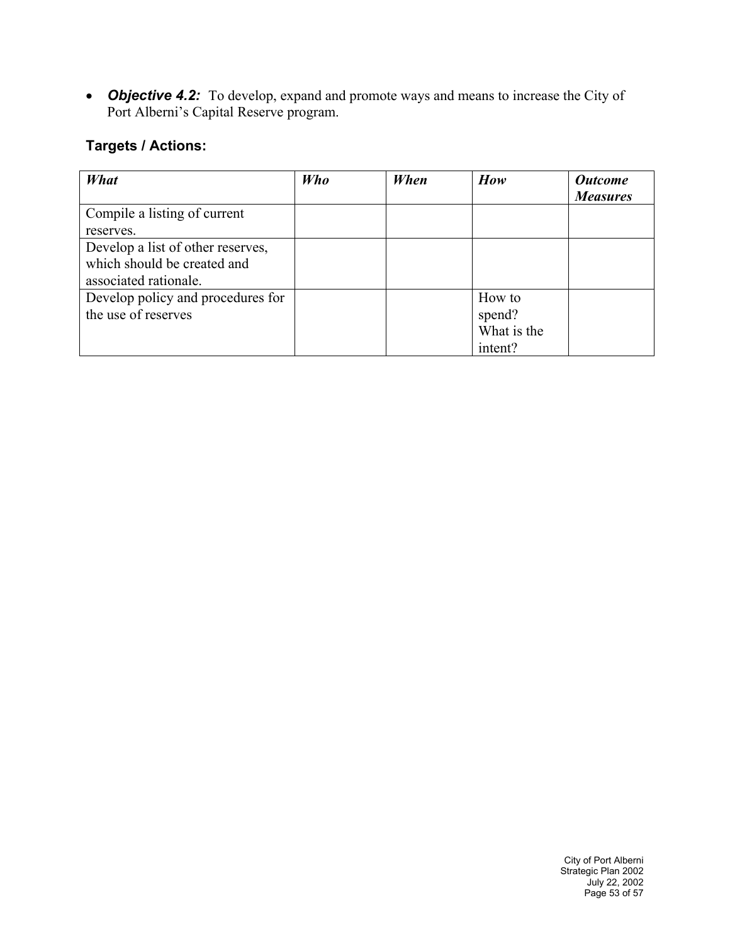• **Objective 4.2:** To develop, expand and promote ways and means to increase the City of Port Alberni's Capital Reserve program.

| What                              | Who | When | How         | <b>Outcome</b>  |
|-----------------------------------|-----|------|-------------|-----------------|
|                                   |     |      |             | <b>Measures</b> |
| Compile a listing of current      |     |      |             |                 |
| reserves.                         |     |      |             |                 |
| Develop a list of other reserves, |     |      |             |                 |
| which should be created and       |     |      |             |                 |
| associated rationale.             |     |      |             |                 |
| Develop policy and procedures for |     |      | How to      |                 |
| the use of reserves               |     |      | spend?      |                 |
|                                   |     |      | What is the |                 |
|                                   |     |      | intent?     |                 |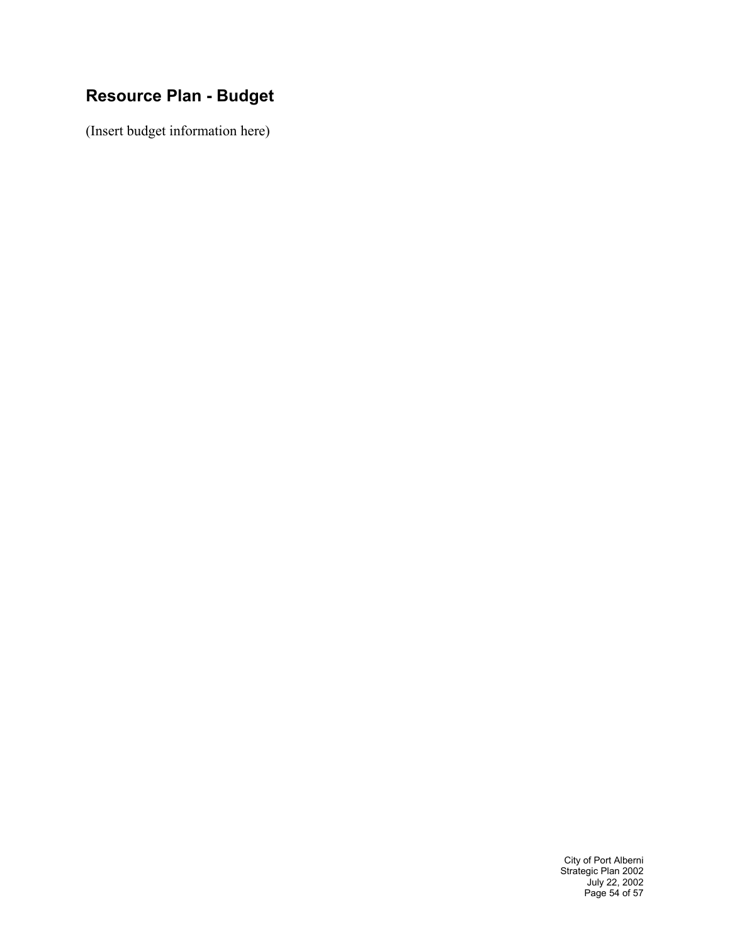## **Resource Plan - Budget**

(Insert budget information here)

City of Port Alberni Strategic Plan 2002 July 22, 2002 Page 54 of 57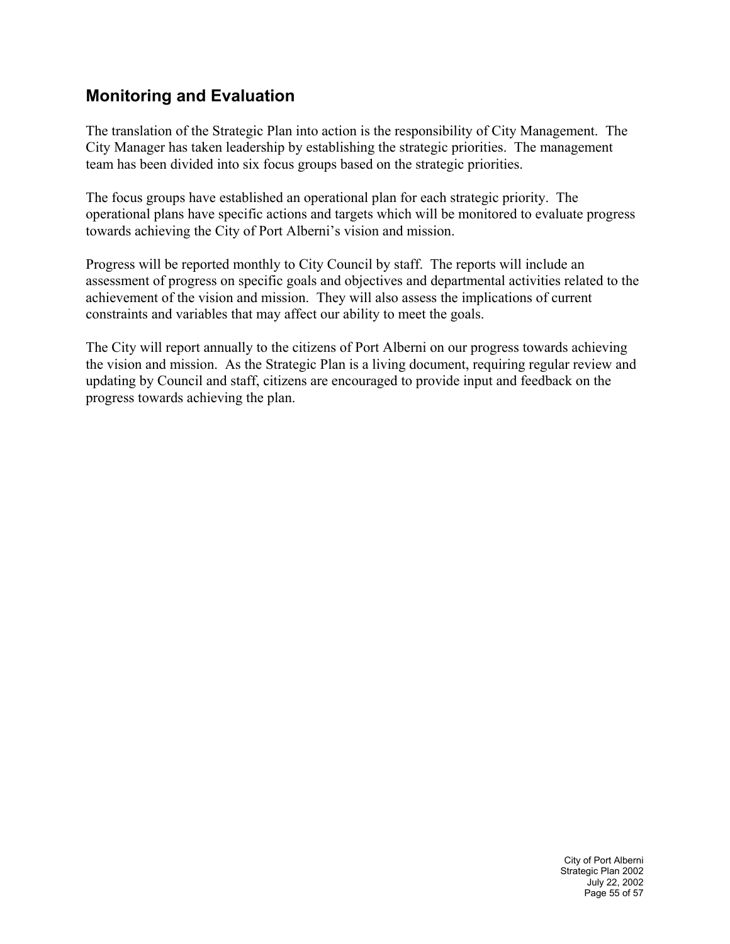## **Monitoring and Evaluation**

The translation of the Strategic Plan into action is the responsibility of City Management. The City Manager has taken leadership by establishing the strategic priorities. The management team has been divided into six focus groups based on the strategic priorities.

The focus groups have established an operational plan for each strategic priority. The operational plans have specific actions and targets which will be monitored to evaluate progress towards achieving the City of Port Alberni's vision and mission.

Progress will be reported monthly to City Council by staff. The reports will include an assessment of progress on specific goals and objectives and departmental activities related to the achievement of the vision and mission. They will also assess the implications of current constraints and variables that may affect our ability to meet the goals.

The City will report annually to the citizens of Port Alberni on our progress towards achieving the vision and mission. As the Strategic Plan is a living document, requiring regular review and updating by Council and staff, citizens are encouraged to provide input and feedback on the progress towards achieving the plan.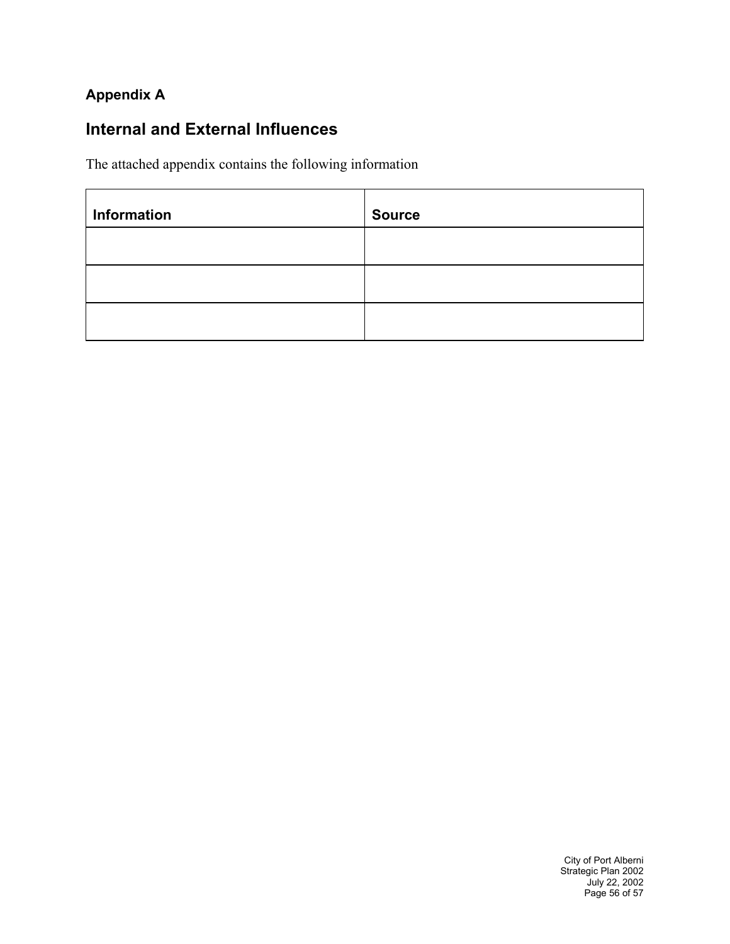#### **Appendix A**

## **Internal and External Influences**

The attached appendix contains the following information

| Information | <b>Source</b> |
|-------------|---------------|
|             |               |
|             |               |
|             |               |